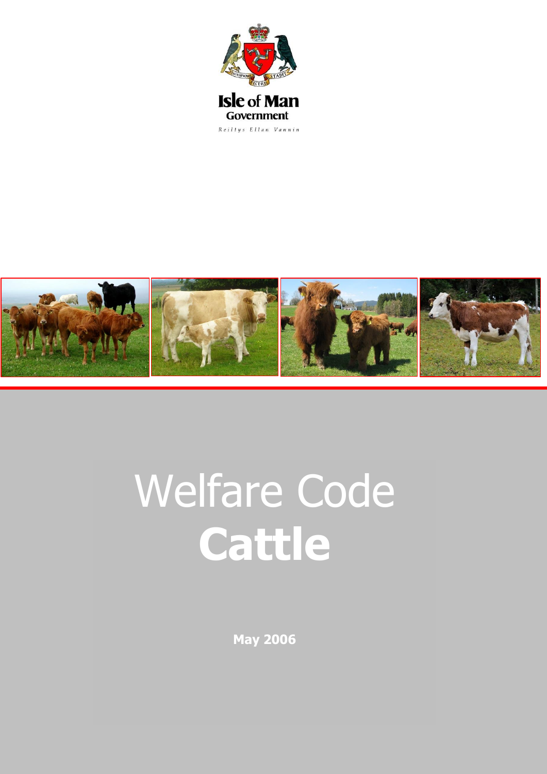



# Welfare Code **Cattle**

**May 2006**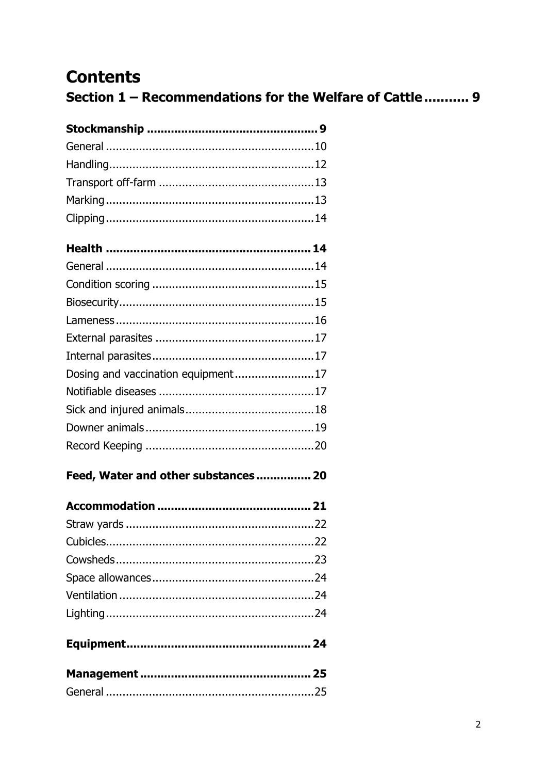## **Contents**

Section 1 - Recommendations for the Welfare of Cattle ........... 9

| Dosing and vaccination equipment17   |  |
|--------------------------------------|--|
|                                      |  |
|                                      |  |
|                                      |  |
|                                      |  |
| Feed, Water and other substances  20 |  |
|                                      |  |
|                                      |  |
|                                      |  |
|                                      |  |
|                                      |  |
|                                      |  |
|                                      |  |
|                                      |  |
|                                      |  |
|                                      |  |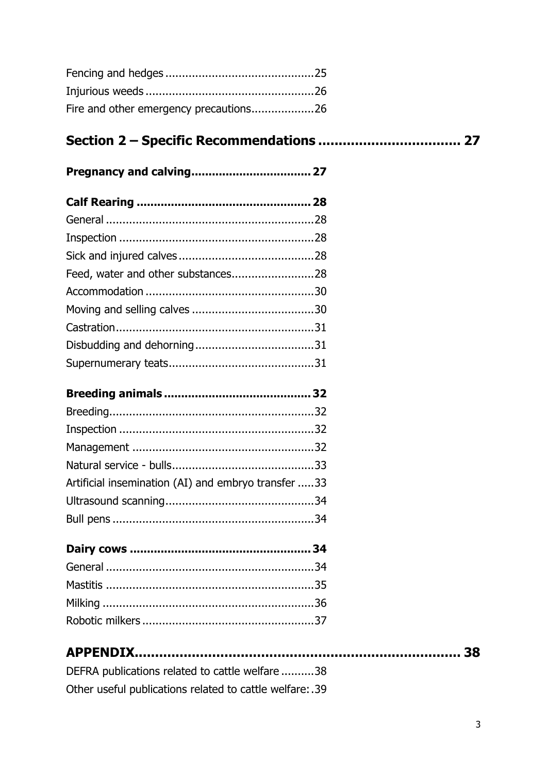| Fire and other emergency precautions26 |  |
|----------------------------------------|--|

## 

| Feed, water and other substances28 |  |
|------------------------------------|--|
|                                    |  |
|                                    |  |
|                                    |  |
|                                    |  |
|                                    |  |

|--|--|

| Artificial insemination (AI) and embryo transfer 33 |  |
|-----------------------------------------------------|--|
|                                                     |  |
|                                                     |  |

| DEFRA publications related to cattle welfare 38          |  |
|----------------------------------------------------------|--|
| Other useful publications related to cattle welfare: .39 |  |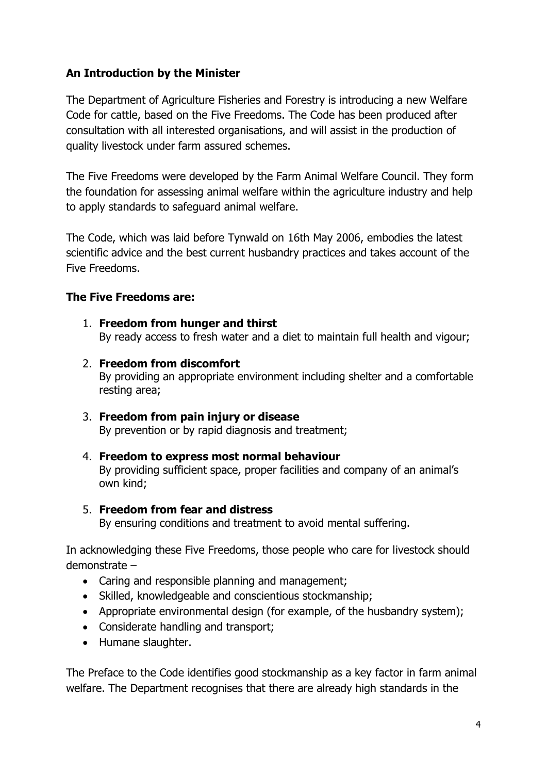#### **An Introduction by the Minister**

The Department of Agriculture Fisheries and Forestry is introducing a new Welfare Code for cattle, based on the Five Freedoms. The Code has been produced after consultation with all interested organisations, and will assist in the production of quality livestock under farm assured schemes.

The Five Freedoms were developed by the Farm Animal Welfare Council. They form the foundation for assessing animal welfare within the agriculture industry and help to apply standards to safeguard animal welfare.

The Code, which was laid before Tynwald on 16th May 2006, embodies the latest scientific advice and the best current husbandry practices and takes account of the Five Freedoms.

#### **The Five Freedoms are:**

- 1. **Freedom from hunger and thirst** By ready access to fresh water and a diet to maintain full health and vigour;
- 2. **Freedom from discomfort** By providing an appropriate environment including shelter and a comfortable resting area;
- 3. **Freedom from pain injury or disease** By prevention or by rapid diagnosis and treatment;
- 4. **Freedom to express most normal behaviour** By providing sufficient space, proper facilities and company of an animal's own kind;

#### 5. **Freedom from fear and distress**

By ensuring conditions and treatment to avoid mental suffering.

In acknowledging these Five Freedoms, those people who care for livestock should demonstrate –

- Caring and responsible planning and management:
- Skilled, knowledgeable and conscientious stockmanship;
- Appropriate environmental design (for example, of the husbandry system);
- Considerate handling and transport;
- Humane slaughter.

The Preface to the Code identifies good stockmanship as a key factor in farm animal welfare. The Department recognises that there are already high standards in the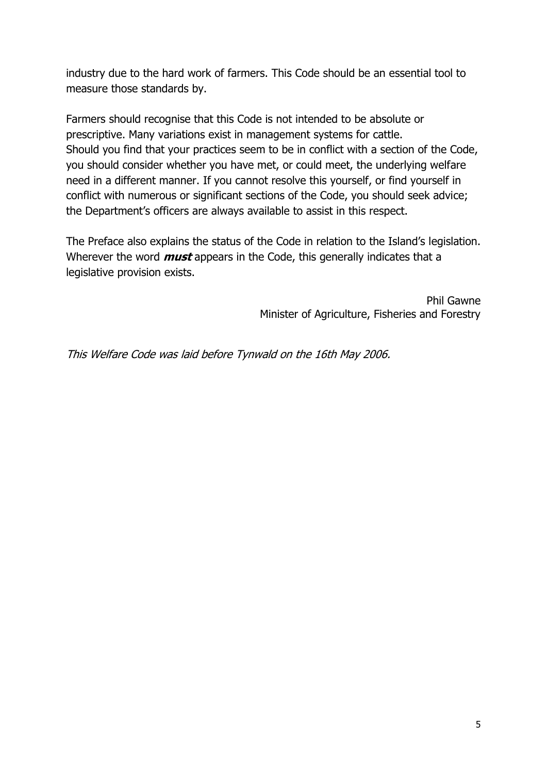industry due to the hard work of farmers. This Code should be an essential tool to measure those standards by.

Farmers should recognise that this Code is not intended to be absolute or prescriptive. Many variations exist in management systems for cattle. Should you find that your practices seem to be in conflict with a section of the Code, you should consider whether you have met, or could meet, the underlying welfare need in a different manner. If you cannot resolve this yourself, or find yourself in conflict with numerous or significant sections of the Code, you should seek advice; the Department's officers are always available to assist in this respect.

The Preface also explains the status of the Code in relation to the Island's legislation. Wherever the word **must** appears in the Code, this generally indicates that a legislative provision exists.

> Phil Gawne Minister of Agriculture, Fisheries and Forestry

This Welfare Code was laid before Tynwald on the 16th May 2006.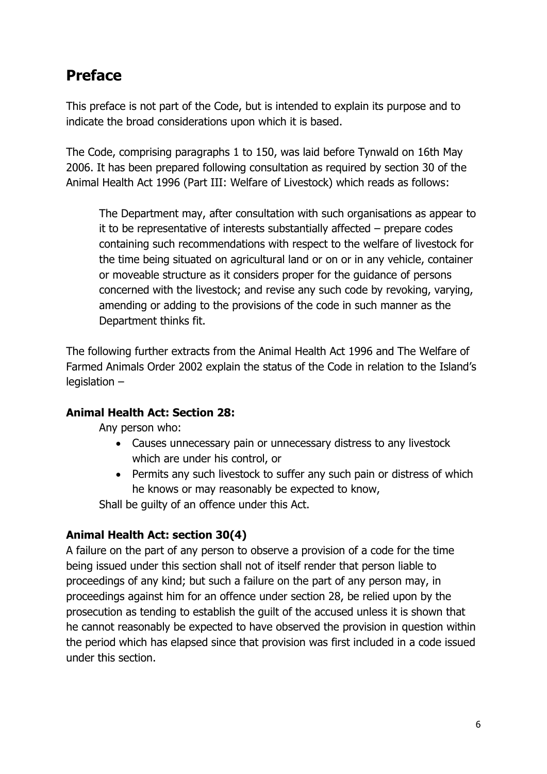## **Preface**

This preface is not part of the Code, but is intended to explain its purpose and to indicate the broad considerations upon which it is based.

The Code, comprising paragraphs 1 to 150, was laid before Tynwald on 16th May 2006. It has been prepared following consultation as required by section 30 of the Animal Health Act 1996 (Part III: Welfare of Livestock) which reads as follows:

The Department may, after consultation with such organisations as appear to it to be representative of interests substantially affected – prepare codes containing such recommendations with respect to the welfare of livestock for the time being situated on agricultural land or on or in any vehicle, container or moveable structure as it considers proper for the guidance of persons concerned with the livestock; and revise any such code by revoking, varying, amending or adding to the provisions of the code in such manner as the Department thinks fit.

The following further extracts from the Animal Health Act 1996 and The Welfare of Farmed Animals Order 2002 explain the status of the Code in relation to the Island's legislation –

#### **Animal Health Act: Section 28:**

Any person who:

- Causes unnecessary pain or unnecessary distress to any livestock which are under his control, or
- Permits any such livestock to suffer any such pain or distress of which he knows or may reasonably be expected to know,

Shall be guilty of an offence under this Act.

#### **Animal Health Act: section 30(4)**

A failure on the part of any person to observe a provision of a code for the time being issued under this section shall not of itself render that person liable to proceedings of any kind; but such a failure on the part of any person may, in proceedings against him for an offence under section 28, be relied upon by the prosecution as tending to establish the guilt of the accused unless it is shown that he cannot reasonably be expected to have observed the provision in question within the period which has elapsed since that provision was first included in a code issued under this section.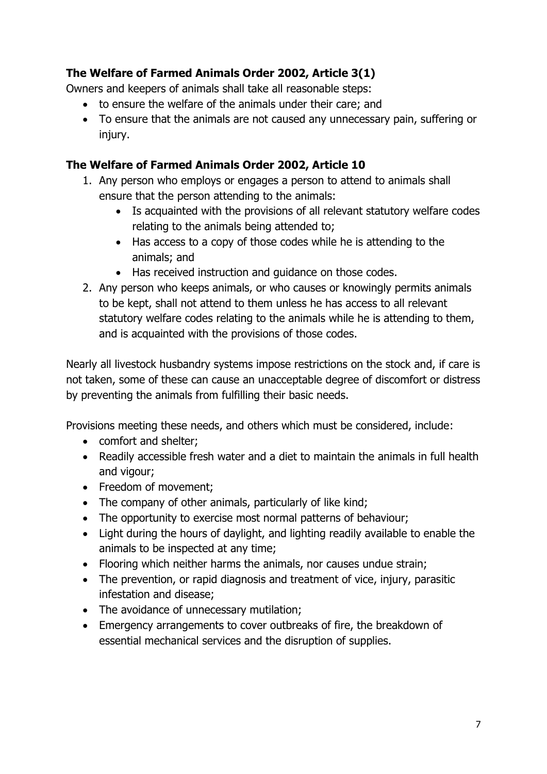#### **The Welfare of Farmed Animals Order 2002, Article 3(1)**

Owners and keepers of animals shall take all reasonable steps:

- to ensure the welfare of the animals under their care; and
- To ensure that the animals are not caused any unnecessary pain, suffering or injury.

#### **The Welfare of Farmed Animals Order 2002, Article 10**

- 1. Any person who employs or engages a person to attend to animals shall ensure that the person attending to the animals:
	- Is acquainted with the provisions of all relevant statutory welfare codes relating to the animals being attended to;
	- Has access to a copy of those codes while he is attending to the animals; and
	- Has received instruction and quidance on those codes.
- 2. Any person who keeps animals, or who causes or knowingly permits animals to be kept, shall not attend to them unless he has access to all relevant statutory welfare codes relating to the animals while he is attending to them, and is acquainted with the provisions of those codes.

Nearly all livestock husbandry systems impose restrictions on the stock and, if care is not taken, some of these can cause an unacceptable degree of discomfort or distress by preventing the animals from fulfilling their basic needs.

Provisions meeting these needs, and others which must be considered, include:

- comfort and shelter;
- Readily accessible fresh water and a diet to maintain the animals in full health and vigour;
- Freedom of movement;
- The company of other animals, particularly of like kind;
- The opportunity to exercise most normal patterns of behaviour;
- Light during the hours of daylight, and lighting readily available to enable the animals to be inspected at any time;
- Flooring which neither harms the animals, nor causes undue strain;
- The prevention, or rapid diagnosis and treatment of vice, injury, parasitic infestation and disease;
- The avoidance of unnecessary mutilation;
- Emergency arrangements to cover outbreaks of fire, the breakdown of essential mechanical services and the disruption of supplies.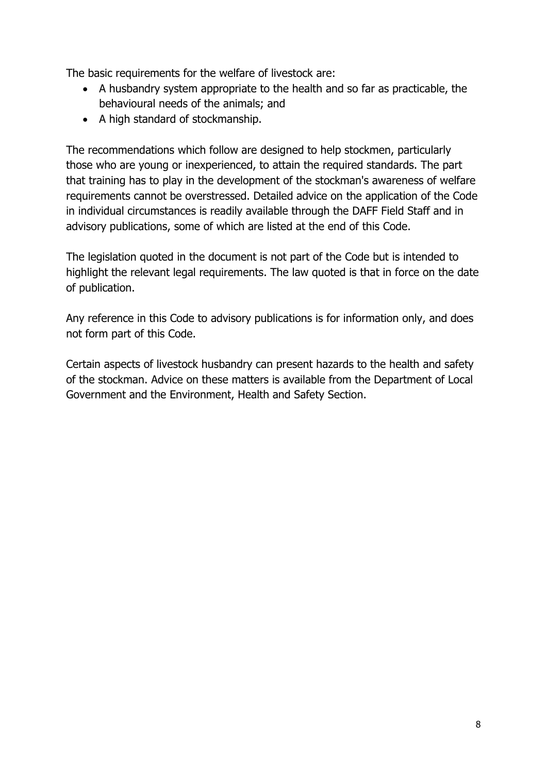The basic requirements for the welfare of livestock are:

- A husbandry system appropriate to the health and so far as practicable, the behavioural needs of the animals; and
- A high standard of stockmanship.

The recommendations which follow are designed to help stockmen, particularly those who are young or inexperienced, to attain the required standards. The part that training has to play in the development of the stockman's awareness of welfare requirements cannot be overstressed. Detailed advice on the application of the Code in individual circumstances is readily available through the DAFF Field Staff and in advisory publications, some of which are listed at the end of this Code.

The legislation quoted in the document is not part of the Code but is intended to highlight the relevant legal requirements. The law quoted is that in force on the date of publication.

Any reference in this Code to advisory publications is for information only, and does not form part of this Code.

Certain aspects of livestock husbandry can present hazards to the health and safety of the stockman. Advice on these matters is available from the Department of Local Government and the Environment, Health and Safety Section.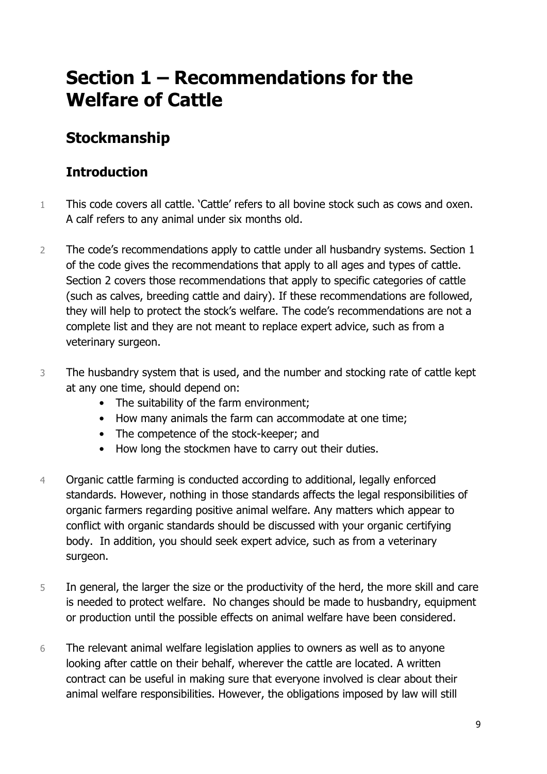## **Section 1 – Recommendations for the Welfare of Cattle**

## **Stockmanship**

### **Introduction**

- 1 This code covers all cattle. 'Cattle' refers to all bovine stock such as cows and oxen. A calf refers to any animal under six months old.
- 2 The code's recommendations apply to cattle under all husbandry systems. Section 1 of the code gives the recommendations that apply to all ages and types of cattle. Section 2 covers those recommendations that apply to specific categories of cattle (such as calves, breeding cattle and dairy). If these recommendations are followed, they will help to protect the stock's welfare. The code's recommendations are not a complete list and they are not meant to replace expert advice, such as from a veterinary surgeon.
- 3 The husbandry system that is used, and the number and stocking rate of cattle kept at any one time, should depend on:
	- The suitability of the farm environment;
	- How many animals the farm can accommodate at one time;
	- The competence of the stock-keeper; and
	- How long the stockmen have to carry out their duties.
- 4 Organic cattle farming is conducted according to additional, legally enforced standards. However, nothing in those standards affects the legal responsibilities of organic farmers regarding positive animal welfare. Any matters which appear to conflict with organic standards should be discussed with your organic certifying body. In addition, you should seek expert advice, such as from a veterinary surgeon.
- 5 In general, the larger the size or the productivity of the herd, the more skill and care is needed to protect welfare. No changes should be made to husbandry, equipment or production until the possible effects on animal welfare have been considered.
- 6 The relevant animal welfare legislation applies to owners as well as to anyone looking after cattle on their behalf, wherever the cattle are located. A written contract can be useful in making sure that everyone involved is clear about their animal welfare responsibilities. However, the obligations imposed by law will still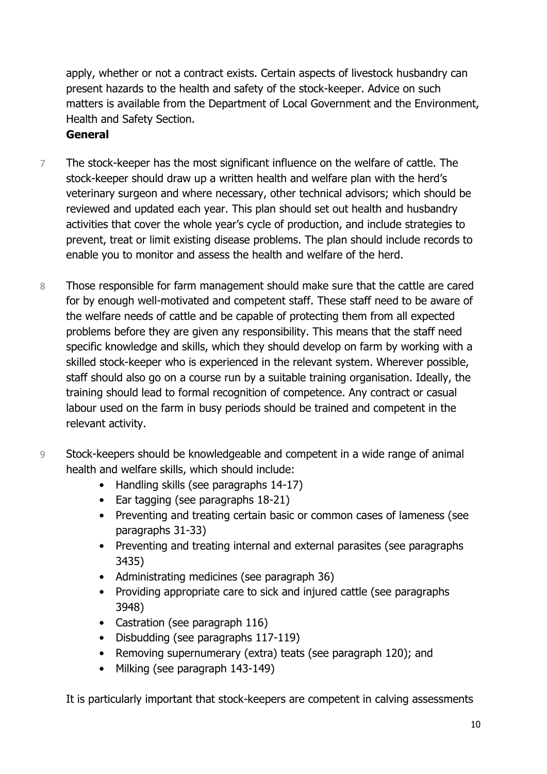apply, whether or not a contract exists. Certain aspects of livestock husbandry can present hazards to the health and safety of the stock-keeper. Advice on such matters is available from the Department of Local Government and the Environment, Health and Safety Section.

#### **General**

- 7 The stock-keeper has the most significant influence on the welfare of cattle. The stock-keeper should draw up a written health and welfare plan with the herd's veterinary surgeon and where necessary, other technical advisors; which should be reviewed and updated each year. This plan should set out health and husbandry activities that cover the whole year's cycle of production, and include strategies to prevent, treat or limit existing disease problems. The plan should include records to enable you to monitor and assess the health and welfare of the herd.
- 8 Those responsible for farm management should make sure that the cattle are cared for by enough well-motivated and competent staff. These staff need to be aware of the welfare needs of cattle and be capable of protecting them from all expected problems before they are given any responsibility. This means that the staff need specific knowledge and skills, which they should develop on farm by working with a skilled stock-keeper who is experienced in the relevant system. Wherever possible, staff should also go on a course run by a suitable training organisation. Ideally, the training should lead to formal recognition of competence. Any contract or casual labour used on the farm in busy periods should be trained and competent in the relevant activity.
- 9 Stock-keepers should be knowledgeable and competent in a wide range of animal health and welfare skills, which should include:
	- Handling skills (see paragraphs 14-17)
	- Ear tagging (see paragraphs 18-21)
	- Preventing and treating certain basic or common cases of lameness (see paragraphs 31-33)
	- Preventing and treating internal and external parasites (see paragraphs 3435)
	- Administrating medicines (see paragraph 36)
	- Providing appropriate care to sick and injured cattle (see paragraphs 3948)
	- Castration (see paragraph 116)
	- Disbudding (see paragraphs 117-119)
	- Removing supernumerary (extra) teats (see paragraph 120); and
	- Milking (see paragraph 143-149)

It is particularly important that stock-keepers are competent in calving assessments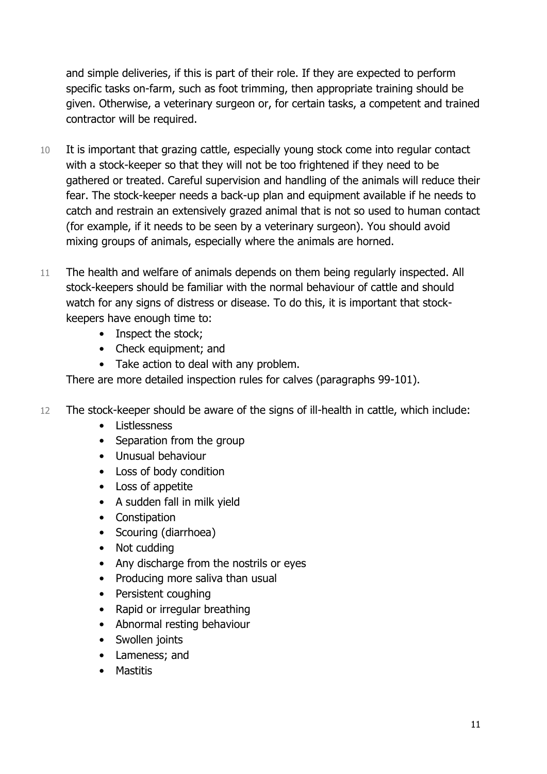and simple deliveries, if this is part of their role. If they are expected to perform specific tasks on-farm, such as foot trimming, then appropriate training should be given. Otherwise, a veterinary surgeon or, for certain tasks, a competent and trained contractor will be required.

- 10 It is important that grazing cattle, especially young stock come into regular contact with a stock-keeper so that they will not be too frightened if they need to be gathered or treated. Careful supervision and handling of the animals will reduce their fear. The stock-keeper needs a back-up plan and equipment available if he needs to catch and restrain an extensively grazed animal that is not so used to human contact (for example, if it needs to be seen by a veterinary surgeon). You should avoid mixing groups of animals, especially where the animals are horned.
- 11 The health and welfare of animals depends on them being regularly inspected. All stock-keepers should be familiar with the normal behaviour of cattle and should watch for any signs of distress or disease. To do this, it is important that stockkeepers have enough time to:
	- Inspect the stock;
	- Check equipment; and
	- Take action to deal with any problem.

There are more detailed inspection rules for calves (paragraphs 99-101).

- 12 The stock-keeper should be aware of the signs of ill-health in cattle, which include:
	- Listlessness
	- Separation from the group
	- Unusual behaviour
	- Loss of body condition
	- Loss of appetite
	- A sudden fall in milk yield
	- Constipation
	- Scouring (diarrhoea)
	- Not cudding
	- Any discharge from the nostrils or eyes
	- Producing more saliva than usual
	- Persistent coughing
	- Rapid or irregular breathing
	- Abnormal resting behaviour
	- Swollen joints
	- Lameness; and
	- Mastitis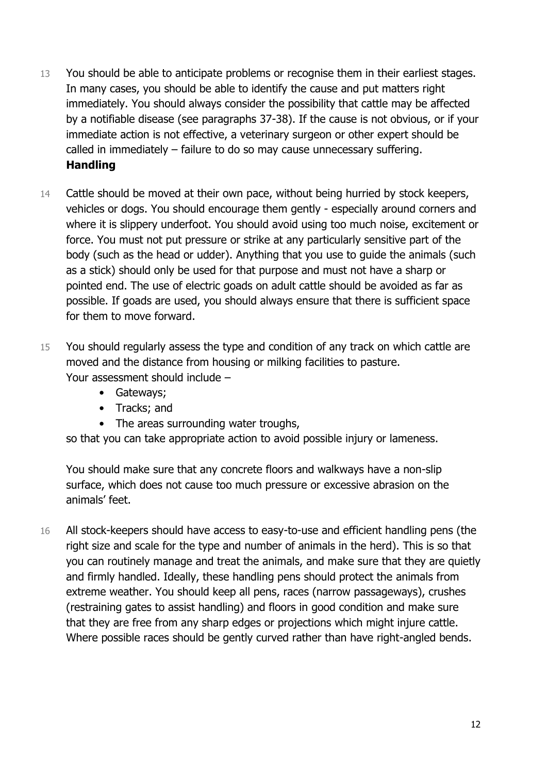- 13 You should be able to anticipate problems or recognise them in their earliest stages. In many cases, you should be able to identify the cause and put matters right immediately. You should always consider the possibility that cattle may be affected by a notifiable disease (see paragraphs 37-38). If the cause is not obvious, or if your immediate action is not effective, a veterinary surgeon or other expert should be called in immediately – failure to do so may cause unnecessary suffering. **Handling**
- 14 Cattle should be moved at their own pace, without being hurried by stock keepers, vehicles or dogs. You should encourage them gently - especially around corners and where it is slippery underfoot. You should avoid using too much noise, excitement or force. You must not put pressure or strike at any particularly sensitive part of the body (such as the head or udder). Anything that you use to guide the animals (such as a stick) should only be used for that purpose and must not have a sharp or pointed end. The use of electric goads on adult cattle should be avoided as far as possible. If goads are used, you should always ensure that there is sufficient space for them to move forward.
- 15 You should regularly assess the type and condition of any track on which cattle are moved and the distance from housing or milking facilities to pasture. Your assessment should include –
	- Gateways;
	- Tracks; and
	- The areas surrounding water troughs,

so that you can take appropriate action to avoid possible injury or lameness.

You should make sure that any concrete floors and walkways have a non-slip surface, which does not cause too much pressure or excessive abrasion on the animals' feet.

16 All stock-keepers should have access to easy-to-use and efficient handling pens (the right size and scale for the type and number of animals in the herd). This is so that you can routinely manage and treat the animals, and make sure that they are quietly and firmly handled. Ideally, these handling pens should protect the animals from extreme weather. You should keep all pens, races (narrow passageways), crushes (restraining gates to assist handling) and floors in good condition and make sure that they are free from any sharp edges or projections which might injure cattle. Where possible races should be gently curved rather than have right-angled bends.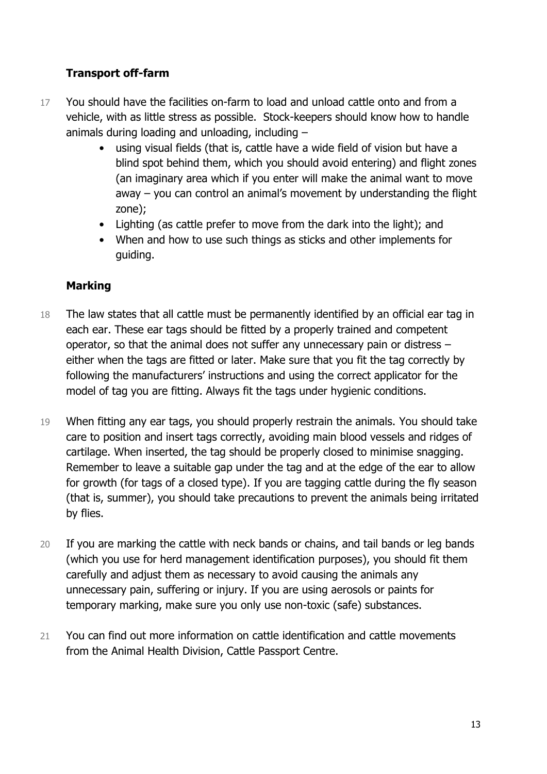#### **Transport off-farm**

- 17 You should have the facilities on-farm to load and unload cattle onto and from a vehicle, with as little stress as possible. Stock-keepers should know how to handle animals during loading and unloading, including –
	- using visual fields (that is, cattle have a wide field of vision but have a blind spot behind them, which you should avoid entering) and flight zones (an imaginary area which if you enter will make the animal want to move away – you can control an animal's movement by understanding the flight zone);
	- Lighting (as cattle prefer to move from the dark into the light); and
	- When and how to use such things as sticks and other implements for guiding.

#### **Marking**

- 18 The law states that all cattle must be permanently identified by an official ear tag in each ear. These ear tags should be fitted by a properly trained and competent operator, so that the animal does not suffer any unnecessary pain or distress – either when the tags are fitted or later. Make sure that you fit the tag correctly by following the manufacturers' instructions and using the correct applicator for the model of tag you are fitting. Always fit the tags under hygienic conditions.
- 19 When fitting any ear tags, you should properly restrain the animals. You should take care to position and insert tags correctly, avoiding main blood vessels and ridges of cartilage. When inserted, the tag should be properly closed to minimise snagging. Remember to leave a suitable gap under the tag and at the edge of the ear to allow for growth (for tags of a closed type). If you are tagging cattle during the fly season (that is, summer), you should take precautions to prevent the animals being irritated by flies.
- 20 If you are marking the cattle with neck bands or chains, and tail bands or leg bands (which you use for herd management identification purposes), you should fit them carefully and adjust them as necessary to avoid causing the animals any unnecessary pain, suffering or injury. If you are using aerosols or paints for temporary marking, make sure you only use non-toxic (safe) substances.
- 21 You can find out more information on cattle identification and cattle movements from the Animal Health Division, Cattle Passport Centre.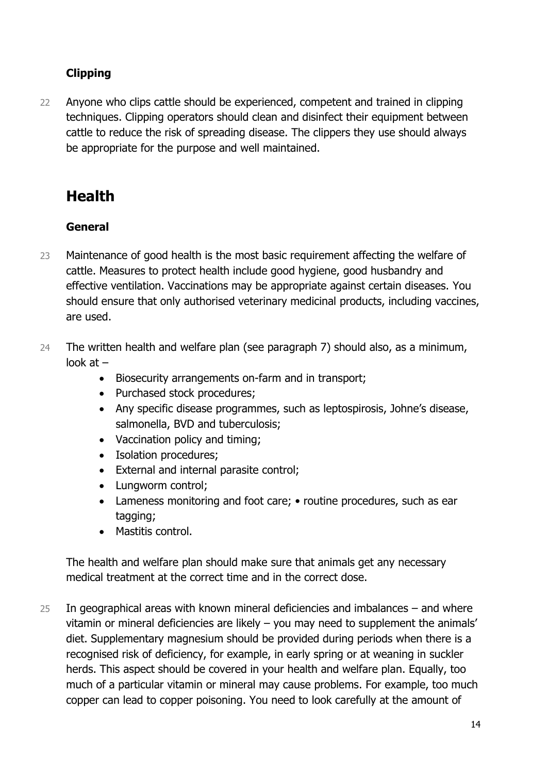#### **Clipping**

22 Anyone who clips cattle should be experienced, competent and trained in clipping techniques. Clipping operators should clean and disinfect their equipment between cattle to reduce the risk of spreading disease. The clippers they use should always be appropriate for the purpose and well maintained.

## **Health**

#### **General**

- 23 Maintenance of good health is the most basic requirement affecting the welfare of cattle. Measures to protect health include good hygiene, good husbandry and effective ventilation. Vaccinations may be appropriate against certain diseases. You should ensure that only authorised veterinary medicinal products, including vaccines, are used.
- 24 The written health and welfare plan (see paragraph 7) should also, as a minimum, look at –
	- Biosecurity arrangements on-farm and in transport;
	- Purchased stock procedures;
	- Any specific disease programmes, such as leptospirosis, Johne's disease, salmonella, BVD and tuberculosis;
	- Vaccination policy and timing;
	- Isolation procedures;
	- External and internal parasite control;
	- Lungworm control;
	- Lameness monitoring and foot care; routine procedures, such as ear tagging;
	- Mastitis control.

The health and welfare plan should make sure that animals get any necessary medical treatment at the correct time and in the correct dose.

25 In geographical areas with known mineral deficiencies and imbalances – and where vitamin or mineral deficiencies are likely – you may need to supplement the animals' diet. Supplementary magnesium should be provided during periods when there is a recognised risk of deficiency, for example, in early spring or at weaning in suckler herds. This aspect should be covered in your health and welfare plan. Equally, too much of a particular vitamin or mineral may cause problems. For example, too much copper can lead to copper poisoning. You need to look carefully at the amount of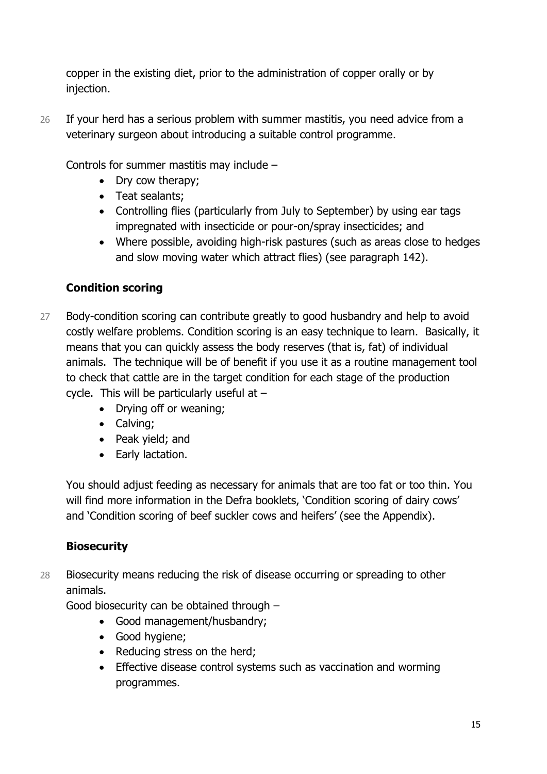copper in the existing diet, prior to the administration of copper orally or by injection.

26 If your herd has a serious problem with summer mastitis, you need advice from a veterinary surgeon about introducing a suitable control programme.

Controls for summer mastitis may include –

- Dry cow therapy;
- Teat sealants;
- Controlling flies (particularly from July to September) by using ear tags impregnated with insecticide or pour-on/spray insecticides; and
- Where possible, avoiding high-risk pastures (such as areas close to hedges and slow moving water which attract flies) (see paragraph 142).

#### **Condition scoring**

- 27 Body-condition scoring can contribute greatly to good husbandry and help to avoid costly welfare problems. Condition scoring is an easy technique to learn. Basically, it means that you can quickly assess the body reserves (that is, fat) of individual animals. The technique will be of benefit if you use it as a routine management tool to check that cattle are in the target condition for each stage of the production cycle. This will be particularly useful at  $-$ 
	- Drying off or weaning;
	- Calving;
	- Peak yield; and
	- Early lactation.

You should adjust feeding as necessary for animals that are too fat or too thin. You will find more information in the Defra booklets, 'Condition scoring of dairy cows' and 'Condition scoring of beef suckler cows and heifers' (see the Appendix).

#### **Biosecurity**

28 Biosecurity means reducing the risk of disease occurring or spreading to other animals.

Good biosecurity can be obtained through –

- Good management/husbandry;
- Good hygiene;
- Reducing stress on the herd:
- Effective disease control systems such as vaccination and worming programmes.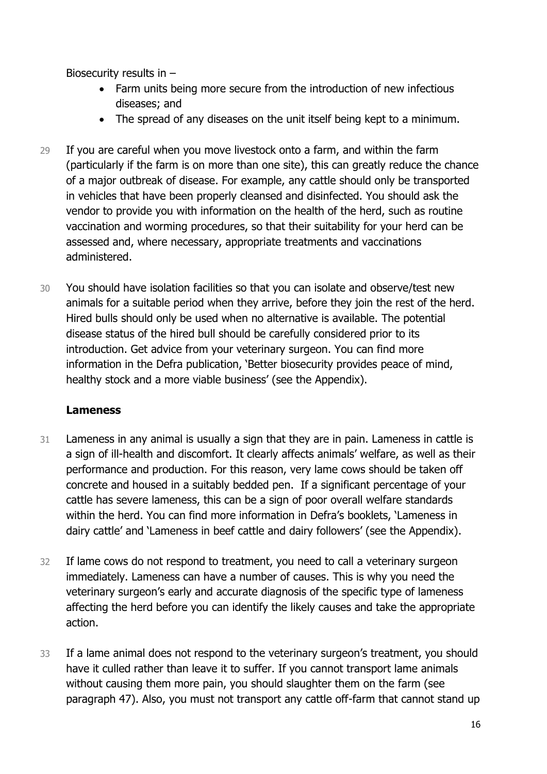Biosecurity results in –

- Farm units being more secure from the introduction of new infectious diseases; and
- The spread of any diseases on the unit itself being kept to a minimum.
- 29 If you are careful when you move livestock onto a farm, and within the farm (particularly if the farm is on more than one site), this can greatly reduce the chance of a major outbreak of disease. For example, any cattle should only be transported in vehicles that have been properly cleansed and disinfected. You should ask the vendor to provide you with information on the health of the herd, such as routine vaccination and worming procedures, so that their suitability for your herd can be assessed and, where necessary, appropriate treatments and vaccinations administered.
- 30 You should have isolation facilities so that you can isolate and observe/test new animals for a suitable period when they arrive, before they join the rest of the herd. Hired bulls should only be used when no alternative is available. The potential disease status of the hired bull should be carefully considered prior to its introduction. Get advice from your veterinary surgeon. You can find more information in the Defra publication, 'Better biosecurity provides peace of mind, healthy stock and a more viable business' (see the Appendix).

#### **Lameness**

- 31 Lameness in any animal is usually a sign that they are in pain. Lameness in cattle is a sign of ill-health and discomfort. It clearly affects animals' welfare, as well as their performance and production. For this reason, very lame cows should be taken off concrete and housed in a suitably bedded pen. If a significant percentage of your cattle has severe lameness, this can be a sign of poor overall welfare standards within the herd. You can find more information in Defra's booklets, 'Lameness in dairy cattle' and 'Lameness in beef cattle and dairy followers' (see the Appendix).
- 32 If lame cows do not respond to treatment, you need to call a veterinary surgeon immediately. Lameness can have a number of causes. This is why you need the veterinary surgeon's early and accurate diagnosis of the specific type of lameness affecting the herd before you can identify the likely causes and take the appropriate action.
- 33 If a lame animal does not respond to the veterinary surgeon's treatment, you should have it culled rather than leave it to suffer. If you cannot transport lame animals without causing them more pain, you should slaughter them on the farm (see paragraph 47). Also, you must not transport any cattle off-farm that cannot stand up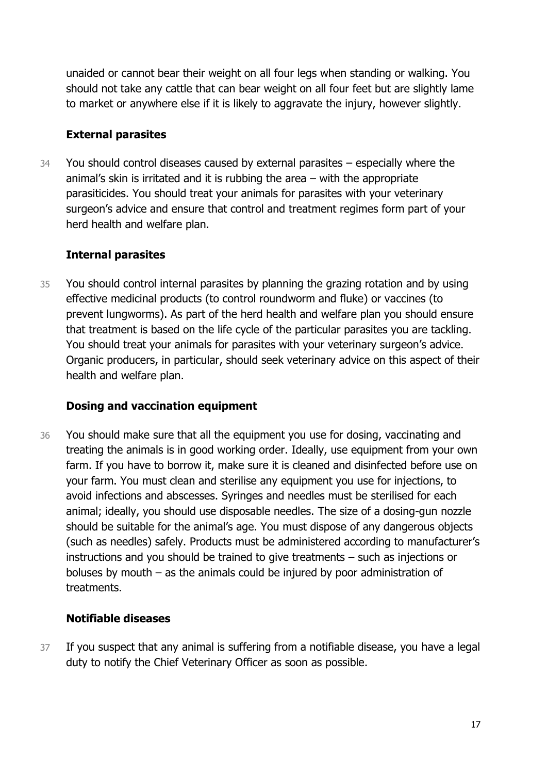unaided or cannot bear their weight on all four legs when standing or walking. You should not take any cattle that can bear weight on all four feet but are slightly lame to market or anywhere else if it is likely to aggravate the injury, however slightly.

#### **External parasites**

34 You should control diseases caused by external parasites – especially where the animal's skin is irritated and it is rubbing the area – with the appropriate parasiticides. You should treat your animals for parasites with your veterinary surgeon's advice and ensure that control and treatment regimes form part of your herd health and welfare plan.

#### **Internal parasites**

35 You should control internal parasites by planning the grazing rotation and by using effective medicinal products (to control roundworm and fluke) or vaccines (to prevent lungworms). As part of the herd health and welfare plan you should ensure that treatment is based on the life cycle of the particular parasites you are tackling. You should treat your animals for parasites with your veterinary surgeon's advice. Organic producers, in particular, should seek veterinary advice on this aspect of their health and welfare plan.

#### **Dosing and vaccination equipment**

36 You should make sure that all the equipment you use for dosing, vaccinating and treating the animals is in good working order. Ideally, use equipment from your own farm. If you have to borrow it, make sure it is cleaned and disinfected before use on your farm. You must clean and sterilise any equipment you use for injections, to avoid infections and abscesses. Syringes and needles must be sterilised for each animal; ideally, you should use disposable needles. The size of a dosing-gun nozzle should be suitable for the animal's age. You must dispose of any dangerous objects (such as needles) safely. Products must be administered according to manufacturer's instructions and you should be trained to give treatments – such as injections or boluses by mouth – as the animals could be injured by poor administration of treatments.

#### **Notifiable diseases**

37 If you suspect that any animal is suffering from a notifiable disease, you have a legal duty to notify the Chief Veterinary Officer as soon as possible.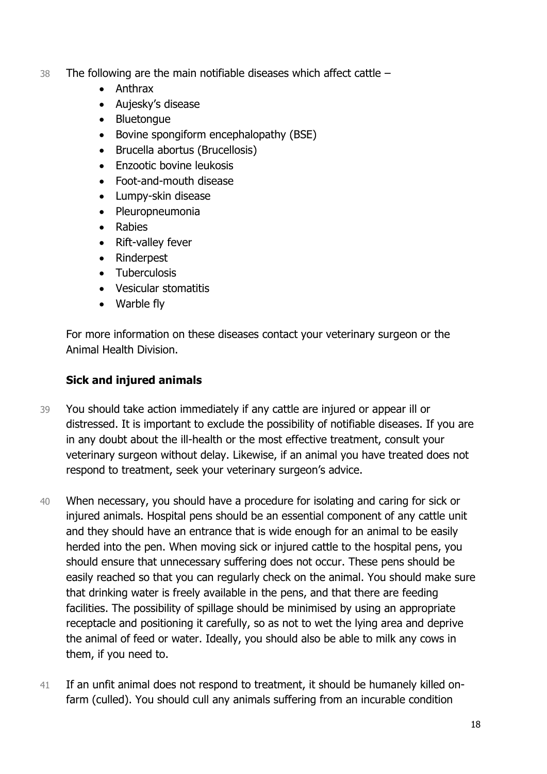- 38 The following are the main notifiable diseases which affect cattle
	- Anthrax
	- Aujesky's disease
	- Bluetonque
	- Bovine spongiform encephalopathy (BSE)
	- Brucella abortus (Brucellosis)
	- Enzootic bovine leukosis
	- Foot-and-mouth disease
	- Lumpy-skin disease
	- Pleuropneumonia
	- Rabies
	- Rift-valley fever
	- Rinderpest
	- Tuberculosis
	- Vesicular stomatitis
	- Warble fly

For more information on these diseases contact your veterinary surgeon or the Animal Health Division.

#### **Sick and injured animals**

- 39 You should take action immediately if any cattle are injured or appear ill or distressed. It is important to exclude the possibility of notifiable diseases. If you are in any doubt about the ill-health or the most effective treatment, consult your veterinary surgeon without delay. Likewise, if an animal you have treated does not respond to treatment, seek your veterinary surgeon's advice.
- 40 When necessary, you should have a procedure for isolating and caring for sick or injured animals. Hospital pens should be an essential component of any cattle unit and they should have an entrance that is wide enough for an animal to be easily herded into the pen. When moving sick or injured cattle to the hospital pens, you should ensure that unnecessary suffering does not occur. These pens should be easily reached so that you can regularly check on the animal. You should make sure that drinking water is freely available in the pens, and that there are feeding facilities. The possibility of spillage should be minimised by using an appropriate receptacle and positioning it carefully, so as not to wet the lying area and deprive the animal of feed or water. Ideally, you should also be able to milk any cows in them, if you need to.
- 41 If an unfit animal does not respond to treatment, it should be humanely killed onfarm (culled). You should cull any animals suffering from an incurable condition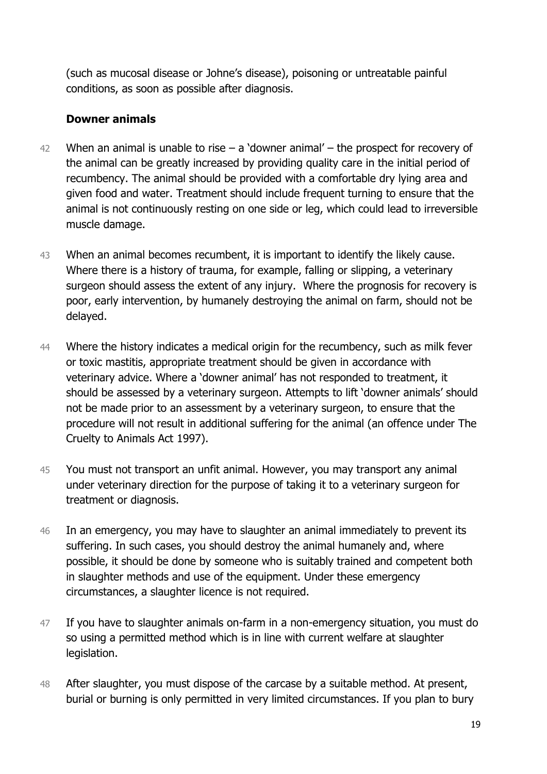(such as mucosal disease or Johne's disease), poisoning or untreatable painful conditions, as soon as possible after diagnosis.

#### **Downer animals**

- 42 When an animal is unable to rise  $-$  a 'downer animal'  $-$  the prospect for recovery of the animal can be greatly increased by providing quality care in the initial period of recumbency. The animal should be provided with a comfortable dry lying area and given food and water. Treatment should include frequent turning to ensure that the animal is not continuously resting on one side or leg, which could lead to irreversible muscle damage.
- 43 When an animal becomes recumbent, it is important to identify the likely cause. Where there is a history of trauma, for example, falling or slipping, a veterinary surgeon should assess the extent of any injury. Where the prognosis for recovery is poor, early intervention, by humanely destroying the animal on farm, should not be delayed.
- 44 Where the history indicates a medical origin for the recumbency, such as milk fever or toxic mastitis, appropriate treatment should be given in accordance with veterinary advice. Where a 'downer animal' has not responded to treatment, it should be assessed by a veterinary surgeon. Attempts to lift 'downer animals' should not be made prior to an assessment by a veterinary surgeon, to ensure that the procedure will not result in additional suffering for the animal (an offence under The Cruelty to Animals Act 1997).
- 45 You must not transport an unfit animal. However, you may transport any animal under veterinary direction for the purpose of taking it to a veterinary surgeon for treatment or diagnosis.
- 46 In an emergency, you may have to slaughter an animal immediately to prevent its suffering. In such cases, you should destroy the animal humanely and, where possible, it should be done by someone who is suitably trained and competent both in slaughter methods and use of the equipment. Under these emergency circumstances, a slaughter licence is not required.
- 47 If you have to slaughter animals on-farm in a non-emergency situation, you must do so using a permitted method which is in line with current welfare at slaughter legislation.
- 48 After slaughter, you must dispose of the carcase by a suitable method. At present, burial or burning is only permitted in very limited circumstances. If you plan to bury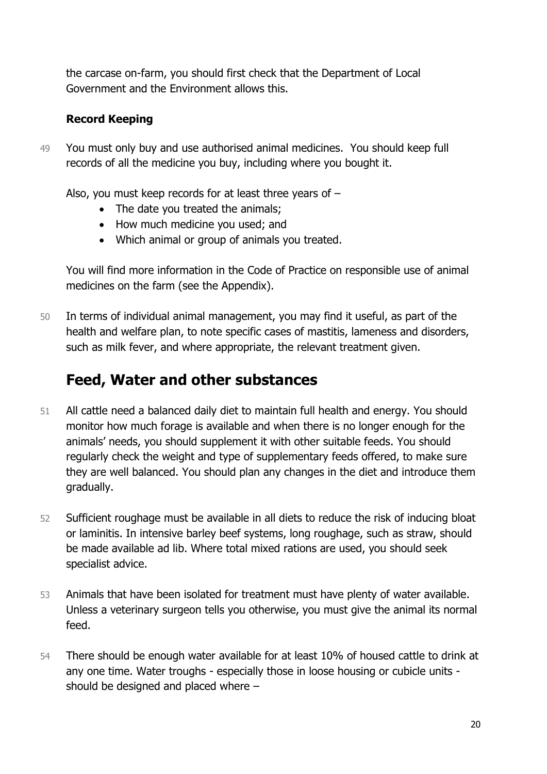the carcase on-farm, you should first check that the Department of Local Government and the Environment allows this.

#### **Record Keeping**

49 You must only buy and use authorised animal medicines. You should keep full records of all the medicine you buy, including where you bought it.

Also, you must keep records for at least three years of –

- The date you treated the animals;
- How much medicine you used; and
- Which animal or group of animals you treated.

You will find more information in the Code of Practice on responsible use of animal medicines on the farm (see the Appendix).

50 In terms of individual animal management, you may find it useful, as part of the health and welfare plan, to note specific cases of mastitis, lameness and disorders, such as milk fever, and where appropriate, the relevant treatment given.

## **Feed, Water and other substances**

- 51 All cattle need a balanced daily diet to maintain full health and energy. You should monitor how much forage is available and when there is no longer enough for the animals' needs, you should supplement it with other suitable feeds. You should regularly check the weight and type of supplementary feeds offered, to make sure they are well balanced. You should plan any changes in the diet and introduce them gradually.
- 52 Sufficient roughage must be available in all diets to reduce the risk of inducing bloat or laminitis. In intensive barley beef systems, long roughage, such as straw, should be made available ad lib. Where total mixed rations are used, you should seek specialist advice.
- 53 Animals that have been isolated for treatment must have plenty of water available. Unless a veterinary surgeon tells you otherwise, you must give the animal its normal feed.
- 54 There should be enough water available for at least 10% of housed cattle to drink at any one time. Water troughs - especially those in loose housing or cubicle units should be designed and placed where –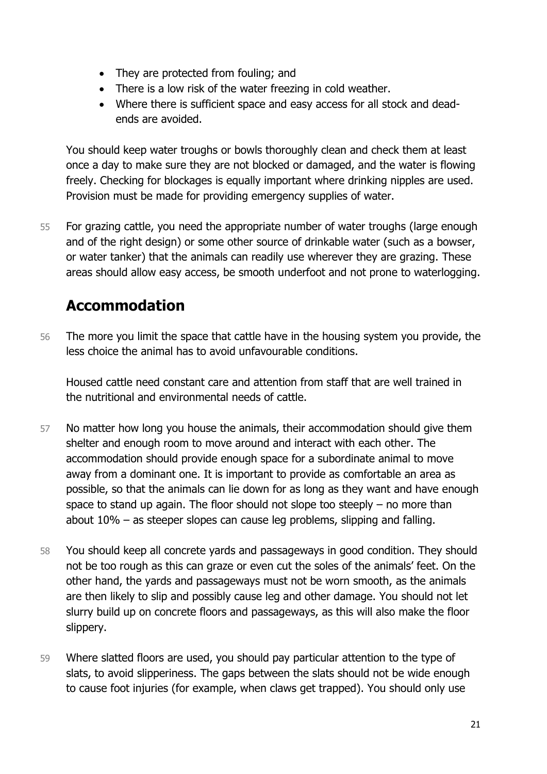- They are protected from fouling; and
- There is a low risk of the water freezing in cold weather.
- Where there is sufficient space and easy access for all stock and deadends are avoided.

You should keep water troughs or bowls thoroughly clean and check them at least once a day to make sure they are not blocked or damaged, and the water is flowing freely. Checking for blockages is equally important where drinking nipples are used. Provision must be made for providing emergency supplies of water.

55 For grazing cattle, you need the appropriate number of water troughs (large enough and of the right design) or some other source of drinkable water (such as a bowser, or water tanker) that the animals can readily use wherever they are grazing. These areas should allow easy access, be smooth underfoot and not prone to waterlogging.

## **Accommodation**

56 The more you limit the space that cattle have in the housing system you provide, the less choice the animal has to avoid unfavourable conditions.

Housed cattle need constant care and attention from staff that are well trained in the nutritional and environmental needs of cattle.

- 57 No matter how long you house the animals, their accommodation should give them shelter and enough room to move around and interact with each other. The accommodation should provide enough space for a subordinate animal to move away from a dominant one. It is important to provide as comfortable an area as possible, so that the animals can lie down for as long as they want and have enough space to stand up again. The floor should not slope too steeply – no more than about 10% – as steeper slopes can cause leg problems, slipping and falling.
- 58 You should keep all concrete yards and passageways in good condition. They should not be too rough as this can graze or even cut the soles of the animals' feet. On the other hand, the yards and passageways must not be worn smooth, as the animals are then likely to slip and possibly cause leg and other damage. You should not let slurry build up on concrete floors and passageways, as this will also make the floor slippery.
- 59 Where slatted floors are used, you should pay particular attention to the type of slats, to avoid slipperiness. The gaps between the slats should not be wide enough to cause foot injuries (for example, when claws get trapped). You should only use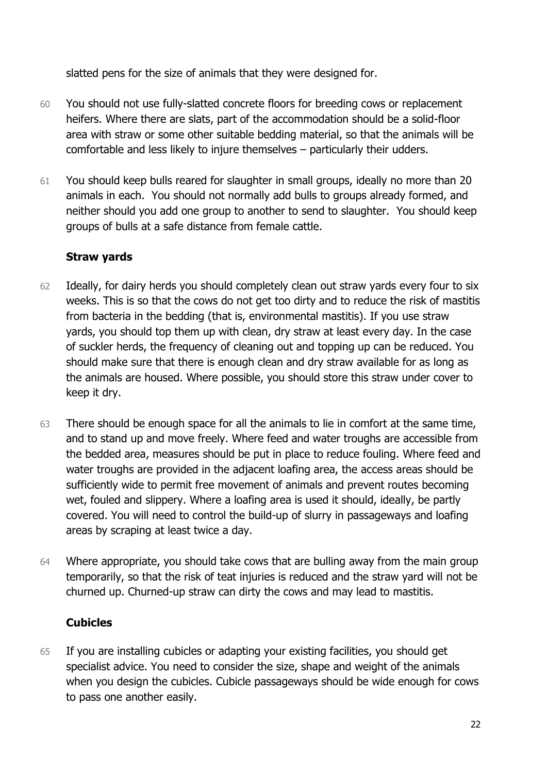slatted pens for the size of animals that they were designed for.

- 60 You should not use fully-slatted concrete floors for breeding cows or replacement heifers. Where there are slats, part of the accommodation should be a solid-floor area with straw or some other suitable bedding material, so that the animals will be comfortable and less likely to injure themselves – particularly their udders.
- 61 You should keep bulls reared for slaughter in small groups, ideally no more than 20 animals in each. You should not normally add bulls to groups already formed, and neither should you add one group to another to send to slaughter. You should keep groups of bulls at a safe distance from female cattle.

#### **Straw yards**

- 62 Ideally, for dairy herds you should completely clean out straw yards every four to six weeks. This is so that the cows do not get too dirty and to reduce the risk of mastitis from bacteria in the bedding (that is, environmental mastitis). If you use straw yards, you should top them up with clean, dry straw at least every day. In the case of suckler herds, the frequency of cleaning out and topping up can be reduced. You should make sure that there is enough clean and dry straw available for as long as the animals are housed. Where possible, you should store this straw under cover to keep it dry.
- 63 There should be enough space for all the animals to lie in comfort at the same time, and to stand up and move freely. Where feed and water troughs are accessible from the bedded area, measures should be put in place to reduce fouling. Where feed and water troughs are provided in the adjacent loafing area, the access areas should be sufficiently wide to permit free movement of animals and prevent routes becoming wet, fouled and slippery. Where a loafing area is used it should, ideally, be partly covered. You will need to control the build-up of slurry in passageways and loafing areas by scraping at least twice a day.
- 64 Where appropriate, you should take cows that are bulling away from the main group temporarily, so that the risk of teat injuries is reduced and the straw yard will not be churned up. Churned-up straw can dirty the cows and may lead to mastitis.

#### **Cubicles**

65 If you are installing cubicles or adapting your existing facilities, you should get specialist advice. You need to consider the size, shape and weight of the animals when you design the cubicles. Cubicle passageways should be wide enough for cows to pass one another easily.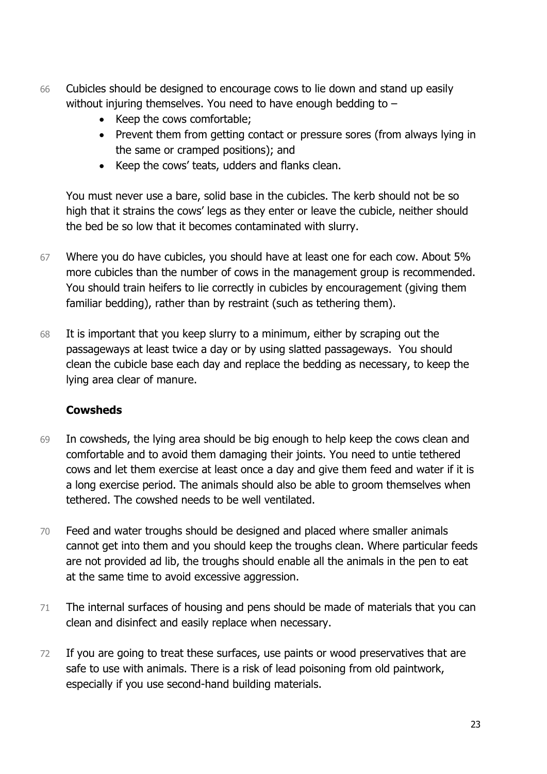- 66 Cubicles should be designed to encourage cows to lie down and stand up easily without injuring themselves. You need to have enough bedding to –
	- Keep the cows comfortable;
	- Prevent them from getting contact or pressure sores (from always lying in the same or cramped positions); and
	- Keep the cows' teats, udders and flanks clean.

You must never use a bare, solid base in the cubicles. The kerb should not be so high that it strains the cows' legs as they enter or leave the cubicle, neither should the bed be so low that it becomes contaminated with slurry.

- 67 Where you do have cubicles, you should have at least one for each cow. About 5% more cubicles than the number of cows in the management group is recommended. You should train heifers to lie correctly in cubicles by encouragement (giving them familiar bedding), rather than by restraint (such as tethering them).
- 68 It is important that you keep slurry to a minimum, either by scraping out the passageways at least twice a day or by using slatted passageways. You should clean the cubicle base each day and replace the bedding as necessary, to keep the lying area clear of manure.

#### **Cowsheds**

- 69 In cowsheds, the lying area should be big enough to help keep the cows clean and comfortable and to avoid them damaging their joints. You need to untie tethered cows and let them exercise at least once a day and give them feed and water if it is a long exercise period. The animals should also be able to groom themselves when tethered. The cowshed needs to be well ventilated.
- 70 Feed and water troughs should be designed and placed where smaller animals cannot get into them and you should keep the troughs clean. Where particular feeds are not provided ad lib, the troughs should enable all the animals in the pen to eat at the same time to avoid excessive aggression.
- 71 The internal surfaces of housing and pens should be made of materials that you can clean and disinfect and easily replace when necessary.
- 72 If you are going to treat these surfaces, use paints or wood preservatives that are safe to use with animals. There is a risk of lead poisoning from old paintwork, especially if you use second-hand building materials.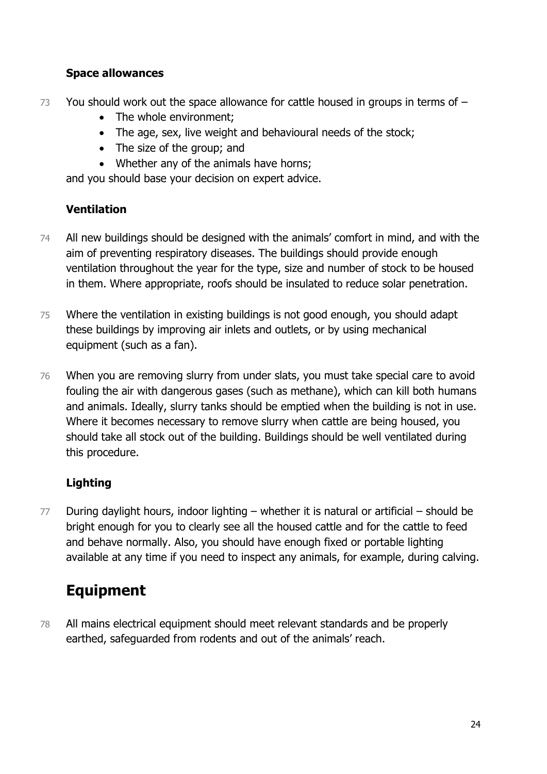#### **Space allowances**

- 73 You should work out the space allowance for cattle housed in groups in terms of -
	- The whole environment;
	- The age, sex, live weight and behavioural needs of the stock;
	- The size of the group; and
	- Whether any of the animals have horns;

and you should base your decision on expert advice.

#### **Ventilation**

- 74 All new buildings should be designed with the animals' comfort in mind, and with the aim of preventing respiratory diseases. The buildings should provide enough ventilation throughout the year for the type, size and number of stock to be housed in them. Where appropriate, roofs should be insulated to reduce solar penetration.
- 75 Where the ventilation in existing buildings is not good enough, you should adapt these buildings by improving air inlets and outlets, or by using mechanical equipment (such as a fan).
- 76 When you are removing slurry from under slats, you must take special care to avoid fouling the air with dangerous gases (such as methane), which can kill both humans and animals. Ideally, slurry tanks should be emptied when the building is not in use. Where it becomes necessary to remove slurry when cattle are being housed, you should take all stock out of the building. Buildings should be well ventilated during this procedure.

#### **Lighting**

77 During daylight hours, indoor lighting – whether it is natural or artificial – should be bright enough for you to clearly see all the housed cattle and for the cattle to feed and behave normally. Also, you should have enough fixed or portable lighting available at any time if you need to inspect any animals, for example, during calving.

## **Equipment**

78 All mains electrical equipment should meet relevant standards and be properly earthed, safeguarded from rodents and out of the animals' reach.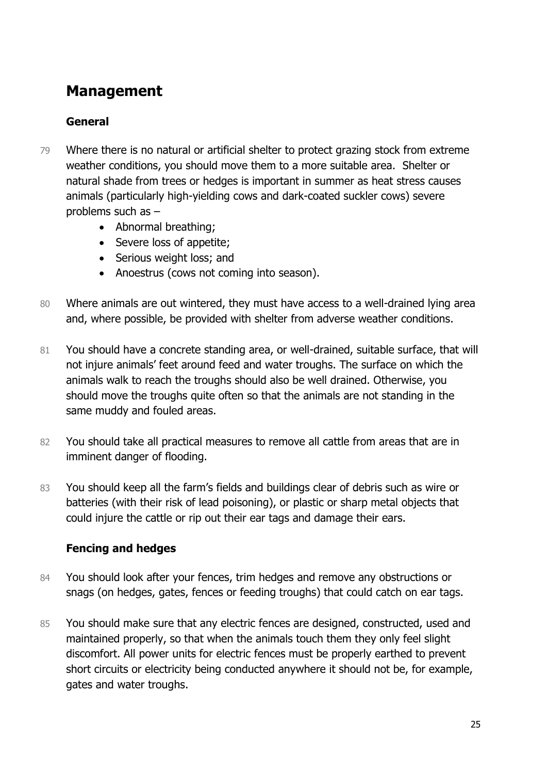## **Management**

#### **General**

- 79 Where there is no natural or artificial shelter to protect grazing stock from extreme weather conditions, you should move them to a more suitable area. Shelter or natural shade from trees or hedges is important in summer as heat stress causes animals (particularly high-yielding cows and dark-coated suckler cows) severe problems such as –
	- Abnormal breathing;
	- Severe loss of appetite;
	- Serious weight loss; and
	- Anoestrus (cows not coming into season).
- 80 Where animals are out wintered, they must have access to a well-drained lying area and, where possible, be provided with shelter from adverse weather conditions.
- 81 You should have a concrete standing area, or well-drained, suitable surface, that will not injure animals' feet around feed and water troughs. The surface on which the animals walk to reach the troughs should also be well drained. Otherwise, you should move the troughs quite often so that the animals are not standing in the same muddy and fouled areas.
- 82 You should take all practical measures to remove all cattle from areas that are in imminent danger of flooding.
- 83 You should keep all the farm's fields and buildings clear of debris such as wire or batteries (with their risk of lead poisoning), or plastic or sharp metal objects that could injure the cattle or rip out their ear tags and damage their ears.

#### **Fencing and hedges**

- 84 You should look after your fences, trim hedges and remove any obstructions or snags (on hedges, gates, fences or feeding troughs) that could catch on ear tags.
- 85 You should make sure that any electric fences are designed, constructed, used and maintained properly, so that when the animals touch them they only feel slight discomfort. All power units for electric fences must be properly earthed to prevent short circuits or electricity being conducted anywhere it should not be, for example, gates and water troughs.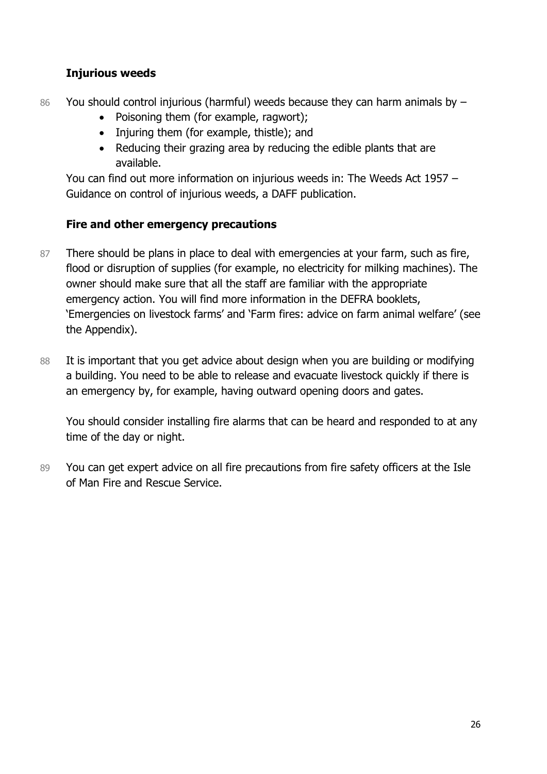#### **Injurious weeds**

- 86 You should control injurious (harmful) weeds because they can harm animals by -
	- Poisoning them (for example, ragwort);
	- Injuring them (for example, thistle); and
	- Reducing their grazing area by reducing the edible plants that are available.

You can find out more information on injurious weeds in: The Weeds Act 1957 – Guidance on control of injurious weeds, a DAFF publication.

#### **Fire and other emergency precautions**

- 87 There should be plans in place to deal with emergencies at your farm, such as fire, flood or disruption of supplies (for example, no electricity for milking machines). The owner should make sure that all the staff are familiar with the appropriate emergency action. You will find more information in the DEFRA booklets, 'Emergencies on livestock farms' and 'Farm fires: advice on farm animal welfare' (see the Appendix).
- 88 It is important that you get advice about design when you are building or modifying a building. You need to be able to release and evacuate livestock quickly if there is an emergency by, for example, having outward opening doors and gates.

You should consider installing fire alarms that can be heard and responded to at any time of the day or night.

89 You can get expert advice on all fire precautions from fire safety officers at the Isle of Man Fire and Rescue Service.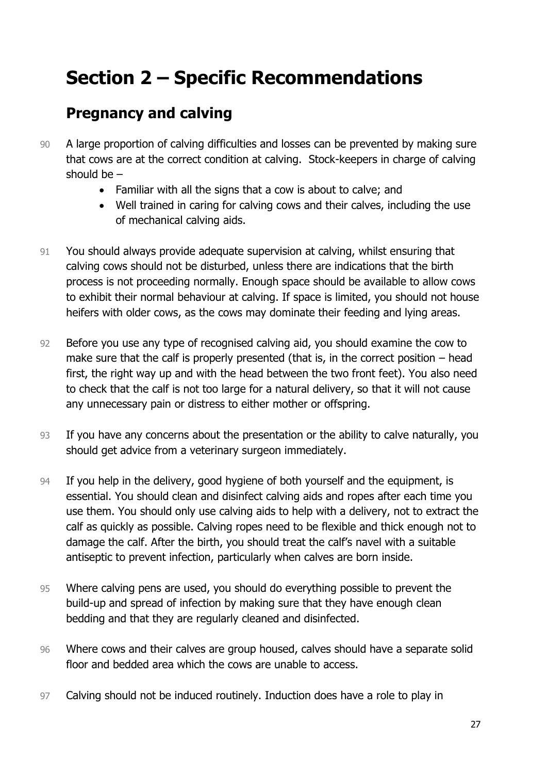# **Section 2 – Specific Recommendations**

## **Pregnancy and calving**

- 90 A large proportion of calving difficulties and losses can be prevented by making sure that cows are at the correct condition at calving. Stock-keepers in charge of calving should be –
	- Familiar with all the signs that a cow is about to calve; and
	- Well trained in caring for calving cows and their calves, including the use of mechanical calving aids.
- 91 You should always provide adequate supervision at calving, whilst ensuring that calving cows should not be disturbed, unless there are indications that the birth process is not proceeding normally. Enough space should be available to allow cows to exhibit their normal behaviour at calving. If space is limited, you should not house heifers with older cows, as the cows may dominate their feeding and lying areas.
- 92 Before you use any type of recognised calving aid, you should examine the cow to make sure that the calf is properly presented (that is, in the correct position – head first, the right way up and with the head between the two front feet). You also need to check that the calf is not too large for a natural delivery, so that it will not cause any unnecessary pain or distress to either mother or offspring.
- 93 If you have any concerns about the presentation or the ability to calve naturally, you should get advice from a veterinary surgeon immediately.
- 94 If you help in the delivery, good hygiene of both yourself and the equipment, is essential. You should clean and disinfect calving aids and ropes after each time you use them. You should only use calving aids to help with a delivery, not to extract the calf as quickly as possible. Calving ropes need to be flexible and thick enough not to damage the calf. After the birth, you should treat the calf's navel with a suitable antiseptic to prevent infection, particularly when calves are born inside.
- 95 Where calving pens are used, you should do everything possible to prevent the build-up and spread of infection by making sure that they have enough clean bedding and that they are regularly cleaned and disinfected.
- 96 Where cows and their calves are group housed, calves should have a separate solid floor and bedded area which the cows are unable to access.
- 97 Calving should not be induced routinely. Induction does have a role to play in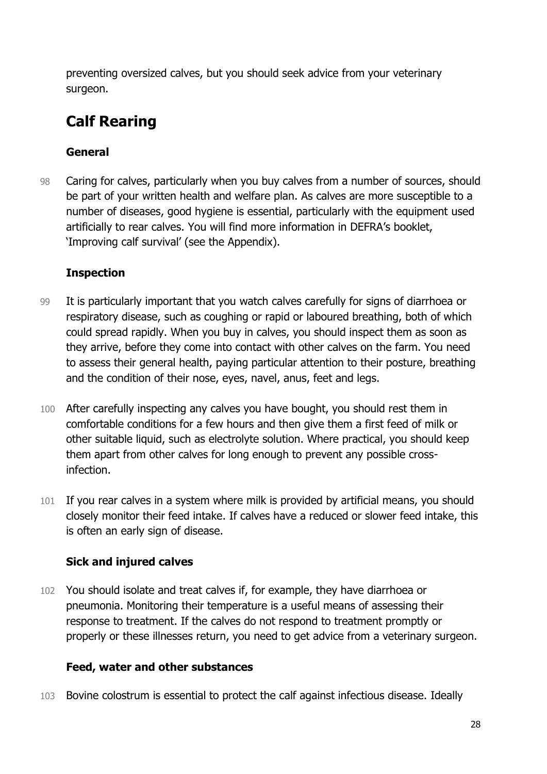preventing oversized calves, but you should seek advice from your veterinary surgeon.

## **Calf Rearing**

#### **General**

98 Caring for calves, particularly when you buy calves from a number of sources, should be part of your written health and welfare plan. As calves are more susceptible to a number of diseases, good hygiene is essential, particularly with the equipment used artificially to rear calves. You will find more information in DEFRA's booklet, 'Improving calf survival' (see the Appendix).

#### **Inspection**

- 99 It is particularly important that you watch calves carefully for signs of diarrhoea or respiratory disease, such as coughing or rapid or laboured breathing, both of which could spread rapidly. When you buy in calves, you should inspect them as soon as they arrive, before they come into contact with other calves on the farm. You need to assess their general health, paying particular attention to their posture, breathing and the condition of their nose, eyes, navel, anus, feet and legs.
- 100 After carefully inspecting any calves you have bought, you should rest them in comfortable conditions for a few hours and then give them a first feed of milk or other suitable liquid, such as electrolyte solution. Where practical, you should keep them apart from other calves for long enough to prevent any possible crossinfection.
- 101 If you rear calves in a system where milk is provided by artificial means, you should closely monitor their feed intake. If calves have a reduced or slower feed intake, this is often an early sign of disease.

#### **Sick and injured calves**

102 You should isolate and treat calves if, for example, they have diarrhoea or pneumonia. Monitoring their temperature is a useful means of assessing their response to treatment. If the calves do not respond to treatment promptly or properly or these illnesses return, you need to get advice from a veterinary surgeon.

#### **Feed, water and other substances**

103 Bovine colostrum is essential to protect the calf against infectious disease. Ideally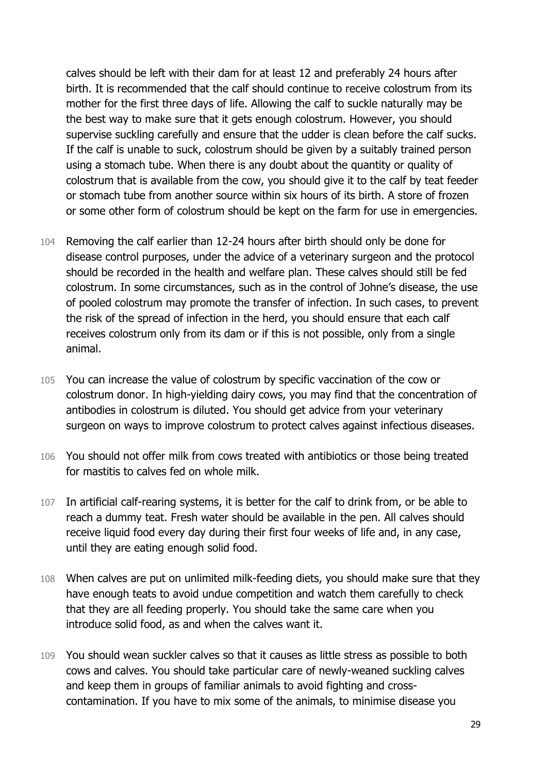calves should be left with their dam for at least 12 and preferably 24 hours after birth. It is recommended that the calf should continue to receive colostrum from its mother for the first three days of life. Allowing the calf to suckle naturally may be the best way to make sure that it gets enough colostrum. However, you should supervise suckling carefully and ensure that the udder is clean before the calf sucks. If the calf is unable to suck, colostrum should be given by a suitably trained person using a stomach tube. When there is any doubt about the quantity or quality of colostrum that is available from the cow, you should give it to the calf by teat feeder or stomach tube from another source within six hours of its birth. A store of frozen or some other form of colostrum should be kept on the farm for use in emergencies.

- 104 Removing the calf earlier than 12-24 hours after birth should only be done for disease control purposes, under the advice of a veterinary surgeon and the protocol should be recorded in the health and welfare plan. These calves should still be fed colostrum. In some circumstances, such as in the control of Johne's disease, the use of pooled colostrum may promote the transfer of infection. In such cases, to prevent the risk of the spread of infection in the herd, you should ensure that each calf receives colostrum only from its dam or if this is not possible, only from a single animal.
- 105 You can increase the value of colostrum by specific vaccination of the cow or colostrum donor. In high-yielding dairy cows, you may find that the concentration of antibodies in colostrum is diluted. You should get advice from your veterinary surgeon on ways to improve colostrum to protect calves against infectious diseases.
- 106 You should not offer milk from cows treated with antibiotics or those being treated for mastitis to calves fed on whole milk.
- 107 In artificial calf-rearing systems, it is better for the calf to drink from, or be able to reach a dummy teat. Fresh water should be available in the pen. All calves should receive liquid food every day during their first four weeks of life and, in any case, until they are eating enough solid food.
- 108 When calves are put on unlimited milk-feeding diets, you should make sure that they have enough teats to avoid undue competition and watch them carefully to check that they are all feeding properly. You should take the same care when you introduce solid food, as and when the calves want it.
- 109 You should wean suckler calves so that it causes as little stress as possible to both cows and calves. You should take particular care of newly-weaned suckling calves and keep them in groups of familiar animals to avoid fighting and crosscontamination. If you have to mix some of the animals, to minimise disease you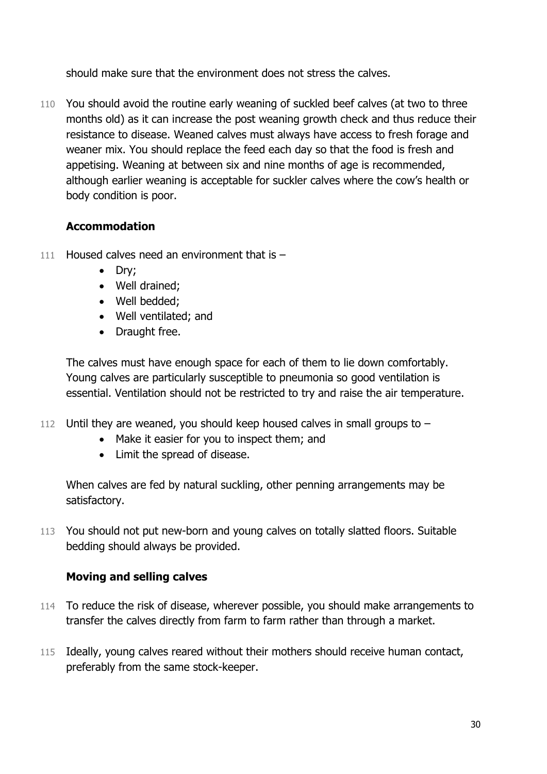should make sure that the environment does not stress the calves.

110 You should avoid the routine early weaning of suckled beef calves (at two to three months old) as it can increase the post weaning growth check and thus reduce their resistance to disease. Weaned calves must always have access to fresh forage and weaner mix. You should replace the feed each day so that the food is fresh and appetising. Weaning at between six and nine months of age is recommended, although earlier weaning is acceptable for suckler calves where the cow's health or body condition is poor.

#### **Accommodation**

- 111 Housed calves need an environment that is  $-$ 
	- Dry;
	- Well drained:
	- Well bedded:
	- Well ventilated; and
	- Draught free.

The calves must have enough space for each of them to lie down comfortably. Young calves are particularly susceptible to pneumonia so good ventilation is essential. Ventilation should not be restricted to try and raise the air temperature.

- 112 Until they are weaned, you should keep housed calves in small groups to
	- Make it easier for you to inspect them; and
	- Limit the spread of disease.

When calves are fed by natural suckling, other penning arrangements may be satisfactory.

113 You should not put new-born and young calves on totally slatted floors. Suitable bedding should always be provided.

#### **Moving and selling calves**

- 114 To reduce the risk of disease, wherever possible, you should make arrangements to transfer the calves directly from farm to farm rather than through a market.
- 115 Ideally, young calves reared without their mothers should receive human contact, preferably from the same stock-keeper.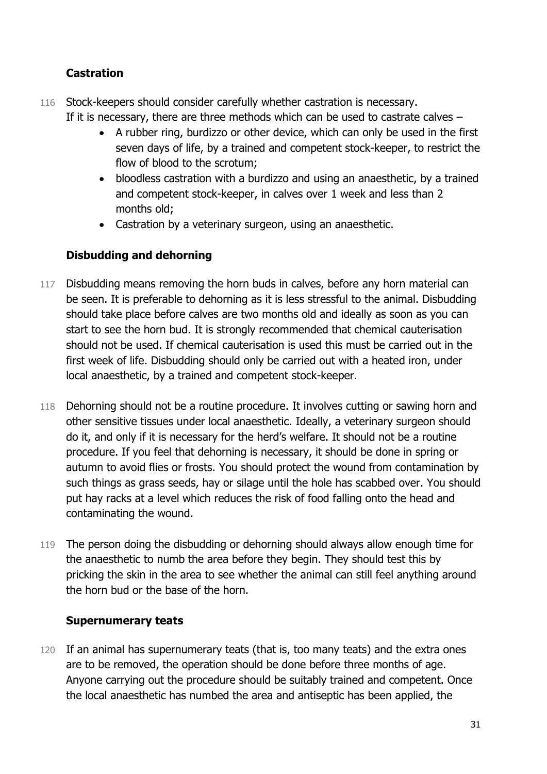#### **Castration**

- 116 Stock-keepers should consider carefully whether castration is necessary. If it is necessary, there are three methods which can be used to castrate calves –
	- A rubber ring, burdizzo or other device, which can only be used in the first seven days of life, by a trained and competent stock-keeper, to restrict the flow of blood to the scrotum;
	- bloodless castration with a burdizzo and using an anaesthetic, by a trained and competent stock-keeper, in calves over 1 week and less than 2 months old;
	- Castration by a veterinary surgeon, using an anaesthetic.

#### **Disbudding and dehorning**

- 117 Disbudding means removing the horn buds in calves, before any horn material can be seen. It is preferable to dehorning as it is less stressful to the animal. Disbudding should take place before calves are two months old and ideally as soon as you can start to see the horn bud. It is strongly recommended that chemical cauterisation should not be used. If chemical cauterisation is used this must be carried out in the first week of life. Disbudding should only be carried out with a heated iron, under local anaesthetic, by a trained and competent stock-keeper.
- 118 Dehorning should not be a routine procedure. It involves cutting or sawing horn and other sensitive tissues under local anaesthetic. Ideally, a veterinary surgeon should do it, and only if it is necessary for the herd's welfare. It should not be a routine procedure. If you feel that dehorning is necessary, it should be done in spring or autumn to avoid flies or frosts. You should protect the wound from contamination by such things as grass seeds, hay or silage until the hole has scabbed over. You should put hay racks at a level which reduces the risk of food falling onto the head and contaminating the wound.
- 119 The person doing the disbudding or dehorning should always allow enough time for the anaesthetic to numb the area before they begin. They should test this by pricking the skin in the area to see whether the animal can still feel anything around the horn bud or the base of the horn.

#### **Supernumerary teats**

120 If an animal has supernumerary teats (that is, too many teats) and the extra ones are to be removed, the operation should be done before three months of age. Anyone carrying out the procedure should be suitably trained and competent. Once the local anaesthetic has numbed the area and antiseptic has been applied, the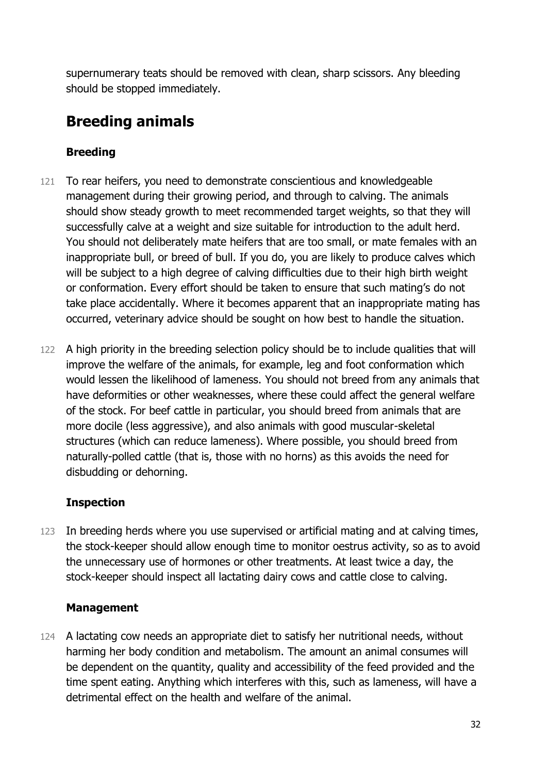supernumerary teats should be removed with clean, sharp scissors. Any bleeding should be stopped immediately.

## **Breeding animals**

#### **Breeding**

- 121 To rear heifers, you need to demonstrate conscientious and knowledgeable management during their growing period, and through to calving. The animals should show steady growth to meet recommended target weights, so that they will successfully calve at a weight and size suitable for introduction to the adult herd. You should not deliberately mate heifers that are too small, or mate females with an inappropriate bull, or breed of bull. If you do, you are likely to produce calves which will be subject to a high degree of calving difficulties due to their high birth weight or conformation. Every effort should be taken to ensure that such mating's do not take place accidentally. Where it becomes apparent that an inappropriate mating has occurred, veterinary advice should be sought on how best to handle the situation.
- 122 A high priority in the breeding selection policy should be to include qualities that will improve the welfare of the animals, for example, leg and foot conformation which would lessen the likelihood of lameness. You should not breed from any animals that have deformities or other weaknesses, where these could affect the general welfare of the stock. For beef cattle in particular, you should breed from animals that are more docile (less aggressive), and also animals with good muscular-skeletal structures (which can reduce lameness). Where possible, you should breed from naturally-polled cattle (that is, those with no horns) as this avoids the need for disbudding or dehorning.

#### **Inspection**

123 In breeding herds where you use supervised or artificial mating and at calving times, the stock-keeper should allow enough time to monitor oestrus activity, so as to avoid the unnecessary use of hormones or other treatments. At least twice a day, the stock-keeper should inspect all lactating dairy cows and cattle close to calving.

#### **Management**

124 A lactating cow needs an appropriate diet to satisfy her nutritional needs, without harming her body condition and metabolism. The amount an animal consumes will be dependent on the quantity, quality and accessibility of the feed provided and the time spent eating. Anything which interferes with this, such as lameness, will have a detrimental effect on the health and welfare of the animal.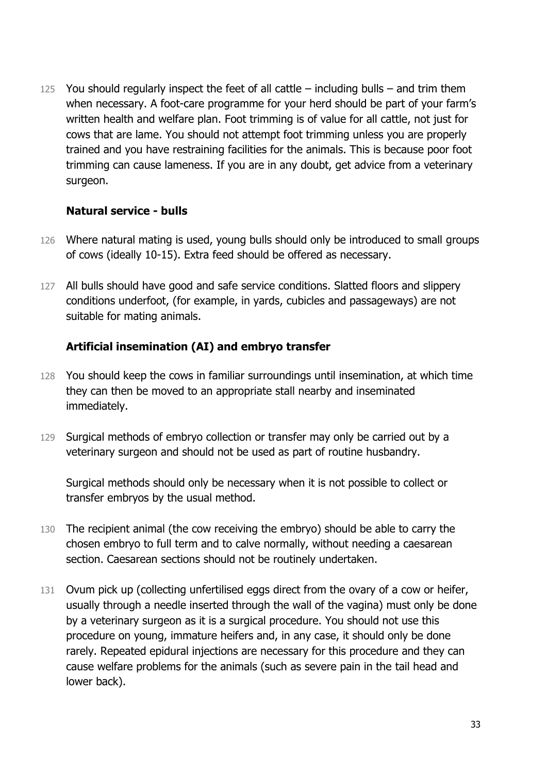125 You should regularly inspect the feet of all cattle  $-$  including bulls  $-$  and trim them when necessary. A foot-care programme for your herd should be part of your farm's written health and welfare plan. Foot trimming is of value for all cattle, not just for cows that are lame. You should not attempt foot trimming unless you are properly trained and you have restraining facilities for the animals. This is because poor foot trimming can cause lameness. If you are in any doubt, get advice from a veterinary surgeon.

#### **Natural service - bulls**

- 126 Where natural mating is used, young bulls should only be introduced to small groups of cows (ideally 10-15). Extra feed should be offered as necessary.
- 127 All bulls should have good and safe service conditions. Slatted floors and slippery conditions underfoot, (for example, in yards, cubicles and passageways) are not suitable for mating animals.

#### **Artificial insemination (AI) and embryo transfer**

- 128 You should keep the cows in familiar surroundings until insemination, at which time they can then be moved to an appropriate stall nearby and inseminated immediately.
- 129 Surgical methods of embryo collection or transfer may only be carried out by a veterinary surgeon and should not be used as part of routine husbandry.

Surgical methods should only be necessary when it is not possible to collect or transfer embryos by the usual method.

- 130 The recipient animal (the cow receiving the embryo) should be able to carry the chosen embryo to full term and to calve normally, without needing a caesarean section. Caesarean sections should not be routinely undertaken.
- 131 Ovum pick up (collecting unfertilised eggs direct from the ovary of a cow or heifer, usually through a needle inserted through the wall of the vagina) must only be done by a veterinary surgeon as it is a surgical procedure. You should not use this procedure on young, immature heifers and, in any case, it should only be done rarely. Repeated epidural injections are necessary for this procedure and they can cause welfare problems for the animals (such as severe pain in the tail head and lower back).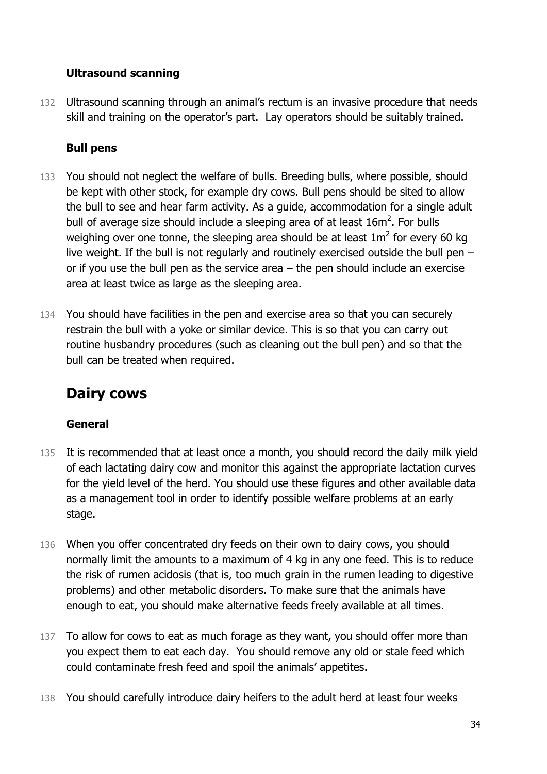#### **Ultrasound scanning**

132 Ultrasound scanning through an animal's rectum is an invasive procedure that needs skill and training on the operator's part. Lay operators should be suitably trained.

#### **Bull pens**

- 133 You should not neglect the welfare of bulls. Breeding bulls, where possible, should be kept with other stock, for example dry cows. Bull pens should be sited to allow the bull to see and hear farm activity. As a guide, accommodation for a single adult bull of average size should include a sleeping area of at least  $16m^2$ . For bulls weighing over one tonne, the sleeping area should be at least  $1\text{m}^2$  for every 60 kg live weight. If the bull is not regularly and routinely exercised outside the bull pen – or if you use the bull pen as the service area – the pen should include an exercise area at least twice as large as the sleeping area.
- 134 You should have facilities in the pen and exercise area so that you can securely restrain the bull with a yoke or similar device. This is so that you can carry out routine husbandry procedures (such as cleaning out the bull pen) and so that the bull can be treated when required.

## **Dairy cows**

#### **General**

- 135 It is recommended that at least once a month, you should record the daily milk yield of each lactating dairy cow and monitor this against the appropriate lactation curves for the yield level of the herd. You should use these figures and other available data as a management tool in order to identify possible welfare problems at an early stage.
- 136 When you offer concentrated dry feeds on their own to dairy cows, you should normally limit the amounts to a maximum of 4 kg in any one feed. This is to reduce the risk of rumen acidosis (that is, too much grain in the rumen leading to digestive problems) and other metabolic disorders. To make sure that the animals have enough to eat, you should make alternative feeds freely available at all times.
- 137 To allow for cows to eat as much forage as they want, you should offer more than you expect them to eat each day. You should remove any old or stale feed which could contaminate fresh feed and spoil the animals' appetites.
- 138 You should carefully introduce dairy heifers to the adult herd at least four weeks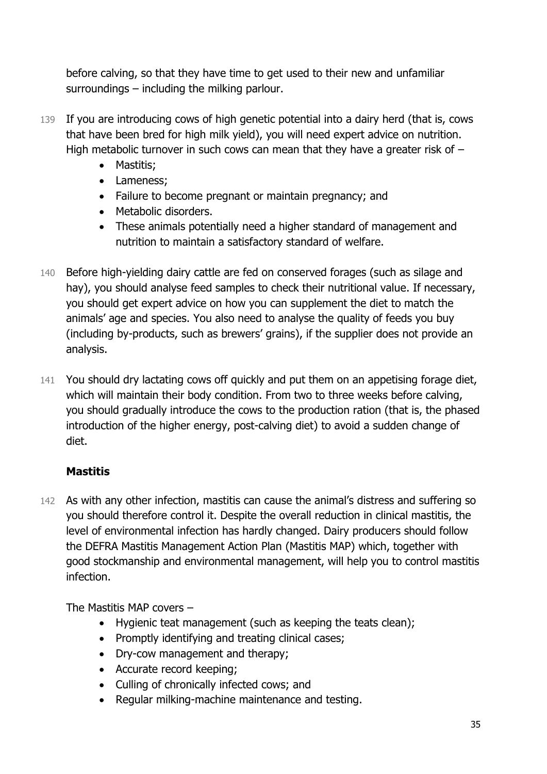before calving, so that they have time to get used to their new and unfamiliar surroundings – including the milking parlour.

- 139 If you are introducing cows of high genetic potential into a dairy herd (that is, cows that have been bred for high milk yield), you will need expert advice on nutrition. High metabolic turnover in such cows can mean that they have a greater risk of  $-$ 
	- Mastitis:
	- Lameness;
	- Failure to become pregnant or maintain pregnancy; and
	- Metabolic disorders.
	- These animals potentially need a higher standard of management and nutrition to maintain a satisfactory standard of welfare.
- 140 Before high-yielding dairy cattle are fed on conserved forages (such as silage and hay), you should analyse feed samples to check their nutritional value. If necessary, you should get expert advice on how you can supplement the diet to match the animals' age and species. You also need to analyse the quality of feeds you buy (including by-products, such as brewers' grains), if the supplier does not provide an analysis.
- 141 You should dry lactating cows off quickly and put them on an appetising forage diet, which will maintain their body condition. From two to three weeks before calving, you should gradually introduce the cows to the production ration (that is, the phased introduction of the higher energy, post-calving diet) to avoid a sudden change of diet.

#### **Mastitis**

142 As with any other infection, mastitis can cause the animal's distress and suffering so you should therefore control it. Despite the overall reduction in clinical mastitis, the level of environmental infection has hardly changed. Dairy producers should follow the DEFRA Mastitis Management Action Plan (Mastitis MAP) which, together with good stockmanship and environmental management, will help you to control mastitis infection.

The Mastitis MAP covers –

- Hygienic teat management (such as keeping the teats clean);
- Promptly identifying and treating clinical cases;
- Dry-cow management and therapy;
- Accurate record keeping:
- Culling of chronically infected cows; and
- Regular milking-machine maintenance and testing.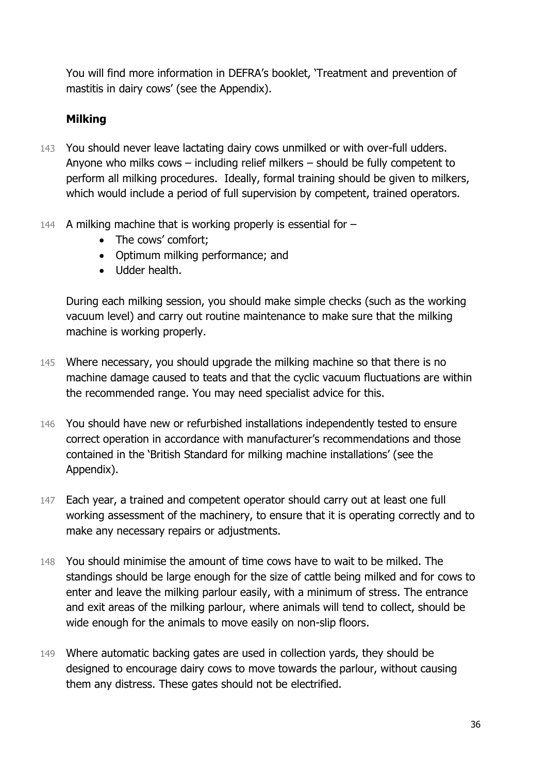You will find more information in DEFRA's booklet, 'Treatment and prevention of mastitis in dairy cows' (see the Appendix).

#### **Milking**

- 143 You should never leave lactating dairy cows unmilked or with over-full udders. Anyone who milks cows – including relief milkers – should be fully competent to perform all milking procedures. Ideally, formal training should be given to milkers, which would include a period of full supervision by competent, trained operators.
- 144 A milking machine that is working properly is essential for  $-$ 
	- The cows' comfort;
	- Optimum milking performance; and
	- Udder health.

During each milking session, you should make simple checks (such as the working vacuum level) and carry out routine maintenance to make sure that the milking machine is working properly.

- 145 Where necessary, you should upgrade the milking machine so that there is no machine damage caused to teats and that the cyclic vacuum fluctuations are within the recommended range. You may need specialist advice for this.
- 146 You should have new or refurbished installations independently tested to ensure correct operation in accordance with manufacturer's recommendations and those contained in the 'British Standard for milking machine installations' (see the Appendix).
- 147 Each year, a trained and competent operator should carry out at least one full working assessment of the machinery, to ensure that it is operating correctly and to make any necessary repairs or adjustments.
- 148 You should minimise the amount of time cows have to wait to be milked. The standings should be large enough for the size of cattle being milked and for cows to enter and leave the milking parlour easily, with a minimum of stress. The entrance and exit areas of the milking parlour, where animals will tend to collect, should be wide enough for the animals to move easily on non-slip floors.
- 149 Where automatic backing gates are used in collection yards, they should be designed to encourage dairy cows to move towards the parlour, without causing them any distress. These gates should not be electrified.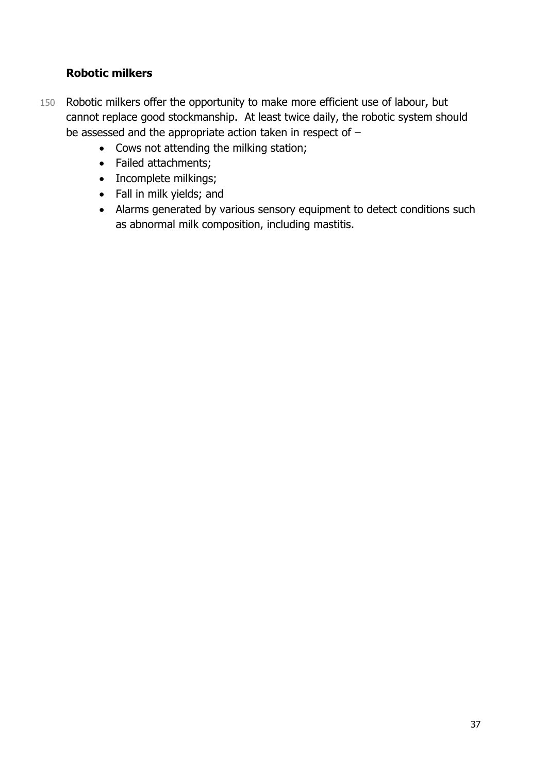#### **Robotic milkers**

- 150 Robotic milkers offer the opportunity to make more efficient use of labour, but cannot replace good stockmanship. At least twice daily, the robotic system should be assessed and the appropriate action taken in respect of –
	- Cows not attending the milking station;
	- Failed attachments;
	- Incomplete milkings;
	- Fall in milk yields; and
	- Alarms generated by various sensory equipment to detect conditions such as abnormal milk composition, including mastitis.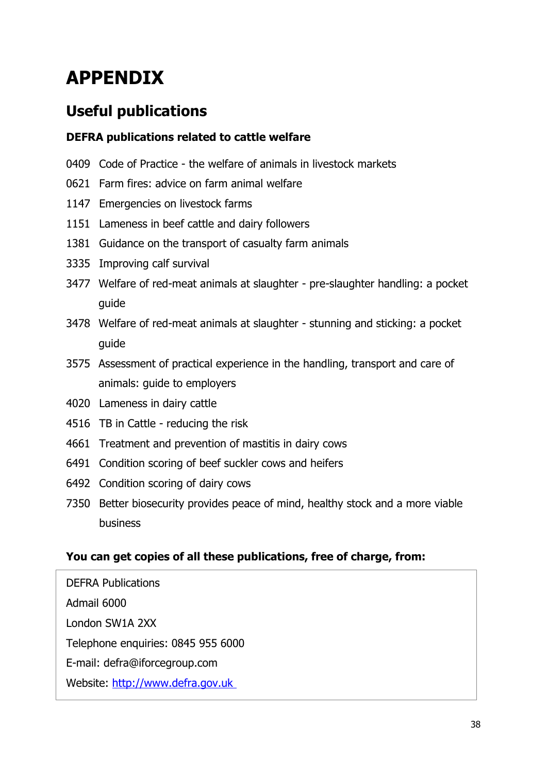# **APPENDIX**

## **Useful publications**

#### **DEFRA publications related to cattle welfare**

- 0409 Code of Practice the welfare of animals in livestock markets
- 0621 Farm fires: advice on farm animal welfare
- 1147 Emergencies on livestock farms
- 1151 Lameness in beef cattle and dairy followers
- 1381 Guidance on the transport of casualty farm animals
- 3335 Improving calf survival
- 3477 Welfare of red-meat animals at slaughter pre-slaughter handling: a pocket guide
- 3478 Welfare of red-meat animals at slaughter stunning and sticking: a pocket guide
- 3575 Assessment of practical experience in the handling, transport and care of animals: guide to employers
- 4020 Lameness in dairy cattle
- 4516 TB in Cattle reducing the risk
- 4661 Treatment and prevention of mastitis in dairy cows
- 6491 Condition scoring of beef suckler cows and heifers
- 6492 Condition scoring of dairy cows
- 7350 Better biosecurity provides peace of mind, healthy stock and a more viable business

#### **You can get copies of all these publications, free of charge, from:**

DEFRA Publications Admail 6000 London SW1A 2XX Telephone enquiries: 0845 955 6000 E-mail: defra@iforcegroup.com Website: [http://www.defra.gov.uk](http://www.defra.gov.uk/)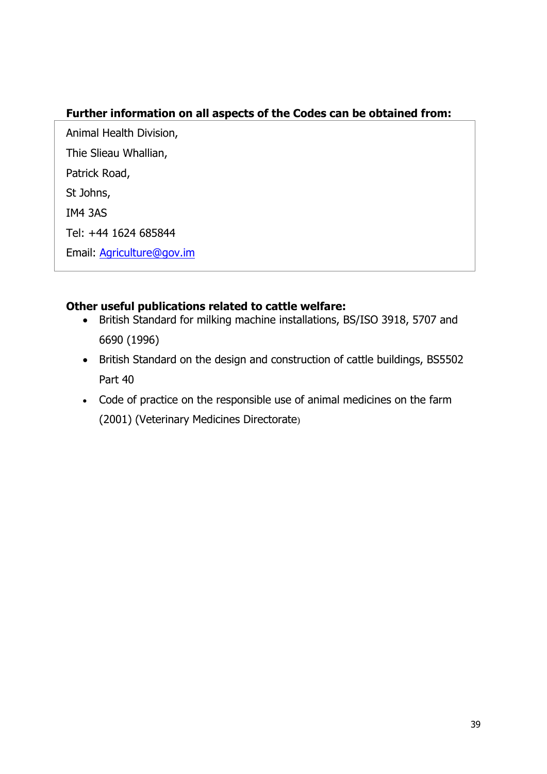#### **Further information on all aspects of the Codes can be obtained from:**

Animal Health Division, Thie Slieau Whallian, Patrick Road, St Johns, IM4 3AS Tel: +44 1624 685844 Email: [Agriculture@gov.im](mailto:Agriculture@gov.im)

#### **Other useful publications related to cattle welfare:**

- British Standard for milking machine installations, BS/ISO 3918, 5707 and 6690 (1996)
- British Standard on the design and construction of cattle buildings, BS5502 Part 40
- Code of practice on the responsible use of animal medicines on the farm (2001) (Veterinary Medicines Directorate)